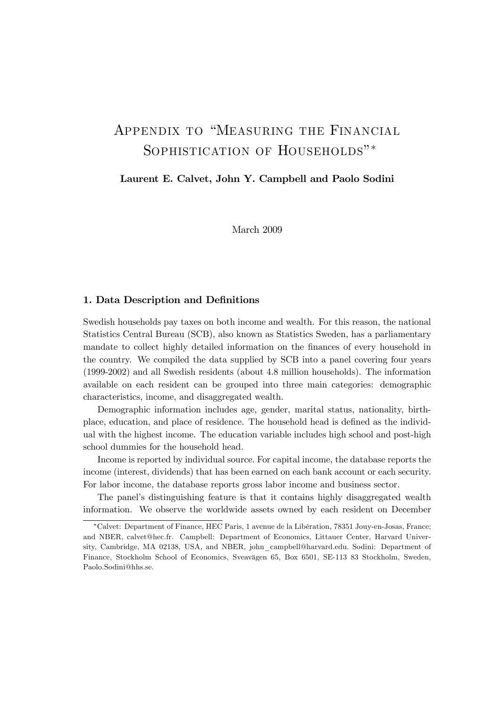# Appendix to "Measuring the Financial SOPHISTICATION OF HOUSEHOLDS"<sup>\*</sup>

Laurent E. Calvet, John Y. Campbell and Paolo Sodini

March 2009

#### 1. Data Description and Definitions

Swedish households pay taxes on both income and wealth. For this reason, the national Statistics Central Bureau (SCB), also known as Statistics Sweden, has a parliamentary mandate to collect highly detailed information on the finances of every household in the country. We compiled the data supplied by SCB into a panel covering four years (1999-2002) and all Swedish residents (about 4.8 million households). The information available on each resident can be grouped into three main categories: demographic characteristics, income, and disaggregated wealth.

Demographic information includes age, gender, marital status, nationality, birthplace, education, and place of residence. The household head is defined as the individual with the highest income. The education variable includes high school and post-high school dummies for the household head.

Income is reported by individual source. For capital income, the database reports the income (interest, dividends) that has been earned on each bank account or each security. For labor income, the database reports gross labor income and business sector.

The panel's distinguishing feature is that it contains highly disaggregated wealth information. We observe the worldwide assets owned by each resident on December

<sup>∗</sup>Calvet: Department of Finance, HEC Paris, 1 avenue de la Libération, 78351 Jouy-en-Josas, France; and NBER, calvet@hec.fr. Campbell: Department of Economics, Littauer Center, Harvard University, Cambridge, MA 02138, USA, and NBER, john\_campbell@harvard.edu. Sodini: Department of Finance, Stockholm School of Economics, Sveavägen 65, Box 6501, SE-113 83 Stockholm, Sweden, Paolo.Sodini@hhs.se.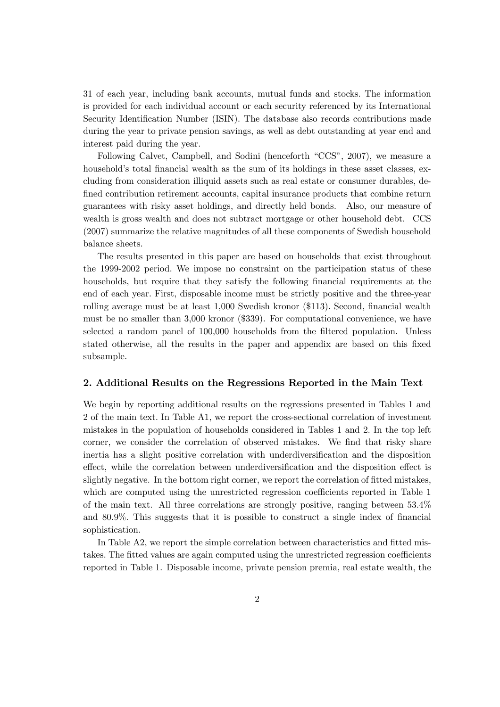31 of each year, including bank accounts, mutual funds and stocks. The information is provided for each individual account or each security referenced by its International Security Identification Number (ISIN). The database also records contributions made during the year to private pension savings, as well as debt outstanding at year end and interest paid during the year.

Following Calvet, Campbell, and Sodini (henceforth "CCS", 2007), we measure a household's total financial wealth as the sum of its holdings in these asset classes, excluding from consideration illiquid assets such as real estate or consumer durables, defined contribution retirement accounts, capital insurance products that combine return guarantees with risky asset holdings, and directly held bonds. Also, our measure of wealth is gross wealth and does not subtract mortgage or other household debt. CCS (2007) summarize the relative magnitudes of all these components of Swedish household balance sheets.

The results presented in this paper are based on households that exist throughout the 1999-2002 period. We impose no constraint on the participation status of these households, but require that they satisfy the following financial requirements at the end of each year. First, disposable income must be strictly positive and the three-year rolling average must be at least 1,000 Swedish kronor (\$113). Second, financial wealth must be no smaller than 3,000 kronor (\$339). For computational convenience, we have selected a random panel of 100,000 households from the filtered population. Unless stated otherwise, all the results in the paper and appendix are based on this fixed subsample.

#### 2. Additional Results on the Regressions Reported in the Main Text

We begin by reporting additional results on the regressions presented in Tables 1 and 2 of the main text. In Table A1, we report the cross-sectional correlation of investment mistakes in the population of households considered in Tables 1 and 2. In the top left corner, we consider the correlation of observed mistakes. We find that risky share inertia has a slight positive correlation with underdiversification and the disposition effect, while the correlation between underdiversification and the disposition effect is slightly negative. In the bottom right corner, we report the correlation of fitted mistakes, which are computed using the unrestricted regression coefficients reported in Table 1 of the main text. All three correlations are strongly positive, ranging between 53.4% and 80.9%. This suggests that it is possible to construct a single index of financial sophistication.

In Table A2, we report the simple correlation between characteristics and fitted mistakes. The fitted values are again computed using the unrestricted regression coefficients reported in Table 1. Disposable income, private pension premia, real estate wealth, the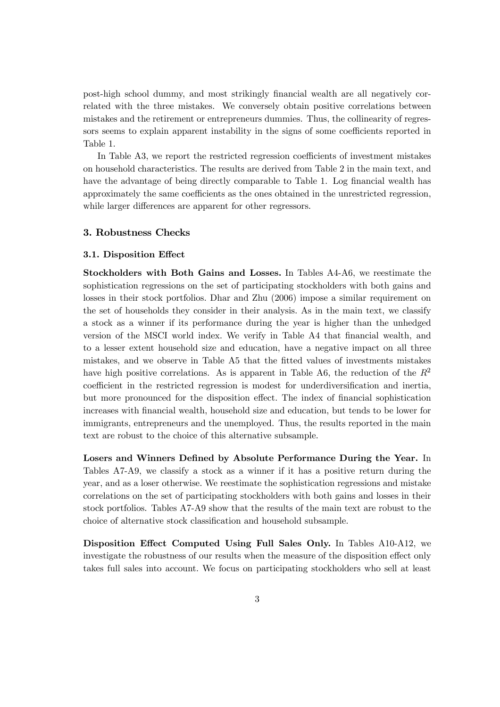post-high school dummy, and most strikingly financial wealth are all negatively correlated with the three mistakes. We conversely obtain positive correlations between mistakes and the retirement or entrepreneurs dummies. Thus, the collinearity of regressors seems to explain apparent instability in the signs of some coefficients reported in Table 1.

In Table A3, we report the restricted regression coefficients of investment mistakes on household characteristics. The results are derived from Table 2 in the main text, and have the advantage of being directly comparable to Table 1. Log financial wealth has approximately the same coefficients as the ones obtained in the unrestricted regression, while larger differences are apparent for other regressors.

#### 3. Robustness Checks

#### 3.1. Disposition Effect

Stockholders with Both Gains and Losses. In Tables A4-A6, we reestimate the sophistication regressions on the set of participating stockholders with both gains and losses in their stock portfolios. Dhar and Zhu (2006) impose a similar requirement on the set of households they consider in their analysis. As in the main text, we classify a stock as a winner if its performance during the year is higher than the unhedged version of the MSCI world index. We verify in Table A4 that financial wealth, and to a lesser extent household size and education, have a negative impact on all three mistakes, and we observe in Table A5 that the fitted values of investments mistakes have high positive correlations. As is apparent in Table A6, the reduction of the  $R^2$ coefficient in the restricted regression is modest for underdiversification and inertia, but more pronounced for the disposition effect. The index of financial sophistication increases with financial wealth, household size and education, but tends to be lower for immigrants, entrepreneurs and the unemployed. Thus, the results reported in the main text are robust to the choice of this alternative subsample.

Losers and Winners Defined by Absolute Performance During the Year. In Tables A7-A9, we classify a stock as a winner if it has a positive return during the year, and as a loser otherwise. We reestimate the sophistication regressions and mistake correlations on the set of participating stockholders with both gains and losses in their stock portfolios. Tables A7-A9 show that the results of the main text are robust to the choice of alternative stock classification and household subsample.

Disposition Effect Computed Using Full Sales Only. In Tables A10-A12, we investigate the robustness of our results when the measure of the disposition effect only takes full sales into account. We focus on participating stockholders who sell at least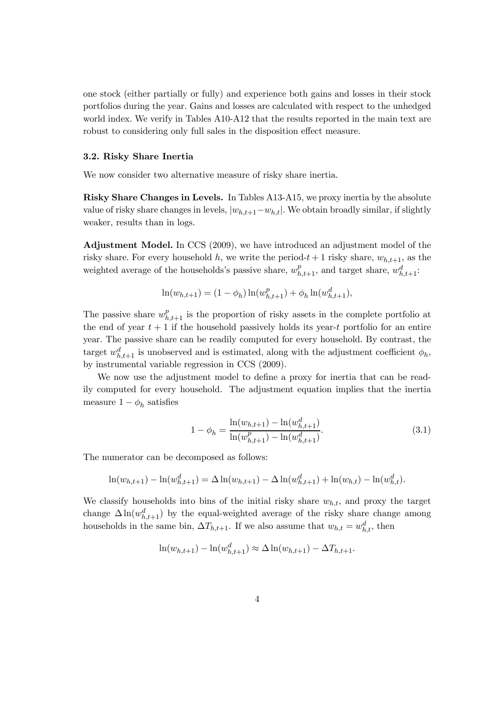one stock (either partially or fully) and experience both gains and losses in their stock portfolios during the year. Gains and losses are calculated with respect to the unhedged world index. We verify in Tables A10-A12 that the results reported in the main text are robust to considering only full sales in the disposition effect measure.

#### 3.2. Risky Share Inertia

We now consider two alternative measure of risky share inertia.

Risky Share Changes in Levels. In Tables A13-A15, we proxy inertia by the absolute value of risky share changes in levels,  $|w_{h,t+1}-w_{h,t}|$ . We obtain broadly similar, if slightly weaker, results than in logs.

Adjustment Model. In CCS (2009), we have introduced an adjustment model of the risky share. For every household h, we write the period- $t + 1$  risky share,  $w_{h,t+1}$ , as the weighted average of the households's passive share,  $w_{h,t+1}^p$ , and target share,  $w_{h,t+1}^d$ :

$$
\ln(w_{h,t+1}) = (1 - \phi_h) \ln(w_{h,t+1}^p) + \phi_h \ln(w_{h,t+1}^d),
$$

The passive share  $w_{h,t+1}^p$  is the proportion of risky assets in the complete portfolio at the end of year  $t + 1$  if the household passively holds its year-t portfolio for an entire year. The passive share can be readily computed for every household. By contrast, the target  $w_{h,t+1}^d$  is unobserved and is estimated, along with the adjustment coefficient  $\phi_h$ , by instrumental variable regression in CCS (2009).

We now use the adjustment model to define a proxy for inertia that can be readily computed for every household. The adjustment equation implies that the inertia measure  $1 - \phi_h$  satisfies

$$
1 - \phi_h = \frac{\ln(w_{h,t+1}) - \ln(w_{h,t+1}^d)}{\ln(w_{h,t+1}^p) - \ln(w_{h,t+1}^d)}.
$$
\n(3.1)

The numerator can be decomposed as follows:

$$
\ln(w_{h,t+1}) - \ln(w_{h,t+1}^d) = \Delta \ln(w_{h,t+1}) - \Delta \ln(w_{h,t+1}^d) + \ln(w_{h,t}) - \ln(w_{h,t}^d).
$$

We classify households into bins of the initial risky share  $w_{h,t}$ , and proxy the target change  $\Delta \ln(w_{h,t+1}^d)$  by the equal-weighted average of the risky share change among households in the same bin,  $\Delta T_{h,t+1}$ . If we also assume that  $w_{h,t} = w_{h,t}^d$ , then

$$
\ln(w_{h,t+1}) - \ln(w_{h,t+1}^d) \approx \Delta \ln(w_{h,t+1}) - \Delta T_{h,t+1}.
$$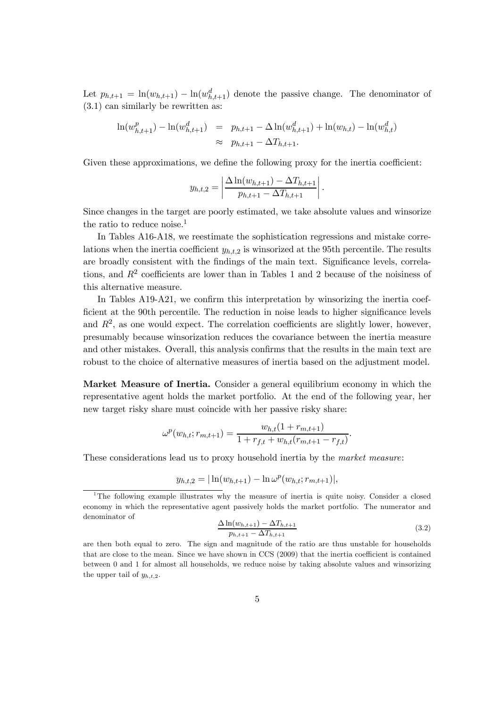Let  $p_{h,t+1} = \ln(w_{h,t+1}) - \ln(w_{h,t+1}^d)$  denote the passive change. The denominator of (3.1) can similarly be rewritten as:

$$
\ln(w_{h,t+1}^p) - \ln(w_{h,t+1}^d) = p_{h,t+1} - \Delta \ln(w_{h,t+1}^d) + \ln(w_{h,t}) - \ln(w_{h,t}^d)
$$
  
 
$$
\approx p_{h,t+1} - \Delta T_{h,t+1}.
$$

Given these approximations, we define the following proxy for the inertia coefficient:

$$
y_{h,t,2} = \left| \frac{\Delta \ln(w_{h,t+1}) - \Delta T_{h,t+1}}{p_{h,t+1} - \Delta T_{h,t+1}} \right|.
$$

Since changes in the target are poorly estimated, we take absolute values and winsorize the ratio to reduce noise.<sup>1</sup>

In Tables A16-A18, we reestimate the sophistication regressions and mistake correlations when the inertia coefficient  $y_{h,t,2}$  is winsorized at the 95th percentile. The results are broadly consistent with the findings of the main text. Significance levels, correlations, and  $R<sup>2</sup>$  coefficients are lower than in Tables 1 and 2 because of the noisiness of this alternative measure.

In Tables A19-A21, we confirm this interpretation by winsorizing the inertia coefficient at the 90th percentile. The reduction in noise leads to higher significance levels and  $R<sup>2</sup>$ , as one would expect. The correlation coefficients are slightly lower, however, presumably because winsorization reduces the covariance between the inertia measure and other mistakes. Overall, this analysis confirms that the results in the main text are robust to the choice of alternative measures of inertia based on the adjustment model.

Market Measure of Inertia. Consider a general equilibrium economy in which the representative agent holds the market portfolio. At the end of the following year, her new target risky share must coincide with her passive risky share:

$$
\omega^{p}(w_{h,t};r_{m,t+1}) = \frac{w_{h,t}(1+r_{m,t+1})}{1+r_{f,t}+w_{h,t}(r_{m,t+1}-r_{f,t})}.
$$

These considerations lead us to proxy household inertia by the market measure:

$$
y_{h,t,2} = |\ln(w_{h,t+1}) - \ln \omega^p(w_{h,t};r_{m,t+1})|,
$$

$$
\frac{\Delta \ln(w_{h,t+1}) - \Delta T_{h,t+1}}{p_{h,t+1} - \Delta T_{h,t+1}}
$$
\n(3.2)

<sup>1</sup>The following example illustrates why the measure of inertia is quite noisy. Consider a closed economy in which the representative agent passively holds the market portfolio. The numerator and denominator of

are then both equal to zero. The sign and magnitude of the ratio are thus unstable for households that are close to the mean. Since we have shown in CCS (2009) that the inertia coefficient is contained between 0 and 1 for almost all households, we reduce noise by taking absolute values and winsorizing the upper tail of  $y_{h,t,2}$ .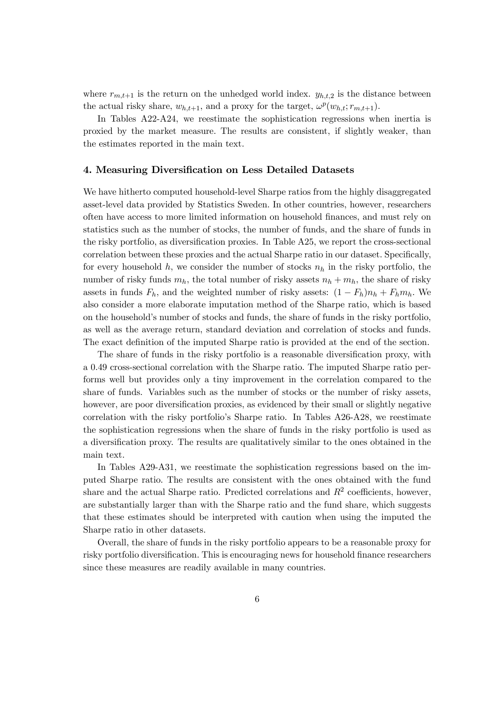where  $r_{m,t+1}$  is the return on the unhedged world index.  $y_{h,t,2}$  is the distance between the actual risky share,  $w_{h,t+1}$ , and a proxy for the target,  $\omega^p(w_{h,t}; r_{m,t+1})$ .

In Tables A22-A24, we reestimate the sophistication regressions when inertia is proxied by the market measure. The results are consistent, if slightly weaker, than the estimates reported in the main text.

#### 4. Measuring Diversification on Less Detailed Datasets

We have hitherto computed household-level Sharpe ratios from the highly disaggregated asset-level data provided by Statistics Sweden. In other countries, however, researchers often have access to more limited information on household finances, and must rely on statistics such as the number of stocks, the number of funds, and the share of funds in the risky portfolio, as diversification proxies. In Table A25, we report the cross-sectional correlation between these proxies and the actual Sharpe ratio in our dataset. Specifically, for every household h, we consider the number of stocks  $n_h$  in the risky portfolio, the number of risky funds  $m_h$ , the total number of risky assets  $n_h + m_h$ , the share of risky assets in funds  $F_h$ , and the weighted number of risky assets:  $(1 - F_h)n_h + F_h m_h$ . We also consider a more elaborate imputation method of the Sharpe ratio, which is based on the household's number of stocks and funds, the share of funds in the risky portfolio, as well as the average return, standard deviation and correlation of stocks and funds. The exact definition of the imputed Sharpe ratio is provided at the end of the section.

The share of funds in the risky portfolio is a reasonable diversification proxy, with a 0.49 cross-sectional correlation with the Sharpe ratio. The imputed Sharpe ratio performs well but provides only a tiny improvement in the correlation compared to the share of funds. Variables such as the number of stocks or the number of risky assets, however, are poor diversification proxies, as evidenced by their small or slightly negative correlation with the risky portfolio's Sharpe ratio. In Tables A26-A28, we reestimate the sophistication regressions when the share of funds in the risky portfolio is used as a diversification proxy. The results are qualitatively similar to the ones obtained in the main text.

In Tables A29-A31, we reestimate the sophistication regressions based on the imputed Sharpe ratio. The results are consistent with the ones obtained with the fund share and the actual Sharpe ratio. Predicted correlations and  $R^2$  coefficients, however, are substantially larger than with the Sharpe ratio and the fund share, which suggests that these estimates should be interpreted with caution when using the imputed the Sharpe ratio in other datasets.

Overall, the share of funds in the risky portfolio appears to be a reasonable proxy for risky portfolio diversification. This is encouraging news for household finance researchers since these measures are readily available in many countries.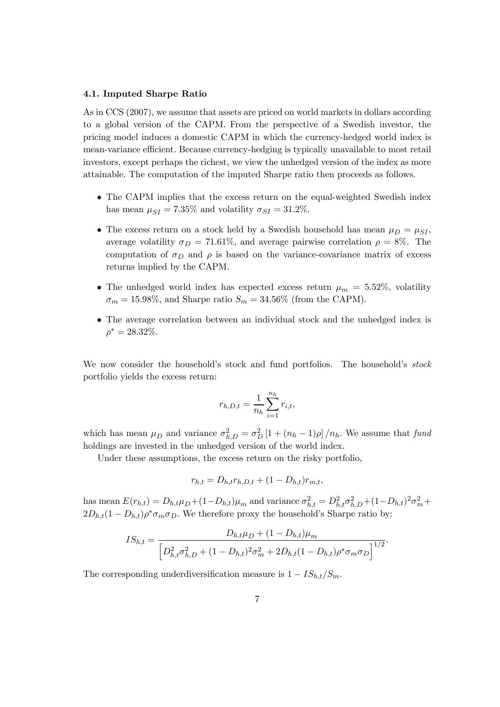#### 4.1. Imputed Sharpe Ratio

As in CCS (2007), we assume that assets are priced on world markets in dollars according to a global version of the CAPM. From the perspective of a Swedish investor, the pricing model induces a domestic CAPM in which the currency-hedged world index is mean-variance efficient. Because currency-hedging is typically unavailable to most retail investors, except perhaps the richest, we view the unhedged version of the index as more attainable. The computation of the imputed Sharpe ratio then proceeds as follows.

- The CAPM implies that the excess return on the equal-weighted Swedish index has mean  $\mu_{SI} = 7.35\%$  and volatility  $\sigma_{SI} = 31.2\%$ .
- The excess return on a stock held by a Swedish household has mean  $\mu_D = \mu_{SI}$ , average volatility  $\sigma_D = 71.61\%$ , and average pairwise correlation  $\rho = 8\%$ . The computation of  $\sigma_D$  and  $\rho$  is based on the variance-covariance matrix of excess returns implied by the CAPM.
- The unhedged world index has expected excess return  $\mu_m = 5.52\%$ , volatility  $\sigma_m = 15.98\%,$  and Sharpe ratio  $S_m = 34.56\%$  (from the CAPM).
- The average correlation between an individual stock and the unhedged index is  $\rho^* = 28.32\%.$

We now consider the household's stock and fund portfolios. The household's stock portfolio yields the excess return:

$$
r_{h,D,t} = \frac{1}{n_h} \sum_{i=1}^{n_h} r_{i,t},
$$

which has mean  $\mu_D$  and variance  $\sigma_{h,D}^2 = \sigma_D^2 \left[1 + (n_h - 1)\rho\right] / n_h$ . We assume that fund holdings are invested in the unhedged version of the world index.

Under these assumptions, the excess return on the risky portfolio,

$$
r_{h,t} = D_{h,t}r_{h,D,t} + (1 - D_{h,t})r_{m,t},
$$

has mean  $E(r_{h,t}) = D_{h,t} \mu_D + (1 - D_{h,t}) \mu_m$  and variance  $\sigma_{h,t}^2 = D_{h,t}^2 \sigma_{h,D}^2 + (1 - D_{h,t})^2 \sigma_m^2 +$  $2D_{h,t}(1-D_{h,t})\rho^*\sigma_m\sigma_D$ . We therefore proxy the household's Sharpe ratio by:

$$
IS_{h,t} = \frac{D_{h,t}\mu_D + (1 - D_{h,t})\mu_m}{\left[D_{h,t}^2 \sigma_{h,D}^2 + (1 - D_{h,t})^2 \sigma_m^2 + 2D_{h,t}(1 - D_{h,t})\rho^* \sigma_m \sigma_D\right]^{1/2}}.
$$

The corresponding underdiversification measure is  $1 - IS_{h,t}/S_m$ .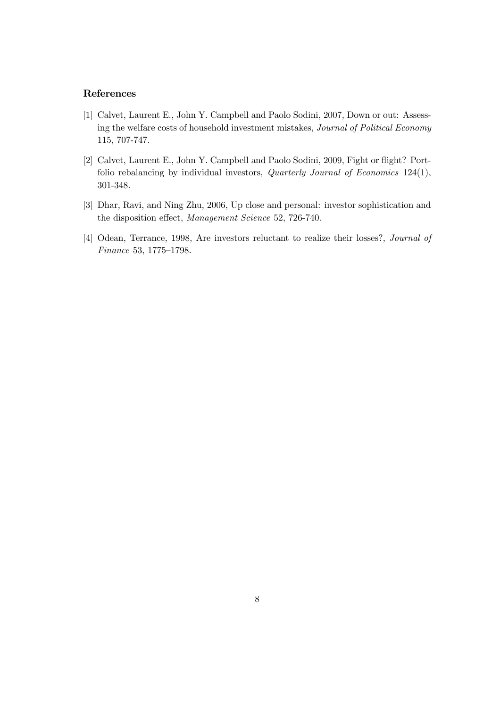#### References

- [1] Calvet, Laurent E., John Y. Campbell and Paolo Sodini, 2007, Down or out: Assessing the welfare costs of household investment mistakes, Journal of Political Economy 115, 707-747.
- [2] Calvet, Laurent E., John Y. Campbell and Paolo Sodini, 2009, Fight or flight? Portfolio rebalancing by individual investors, Quarterly Journal of Economics 124(1), 301-348.
- [3] Dhar, Ravi, and Ning Zhu, 2006, Up close and personal: investor sophistication and the disposition effect, Management Science 52, 726-740.
- [4] Odean, Terrance, 1998, Are investors reluctant to realize their losses?, Journal of Finance 53, 1775—1798.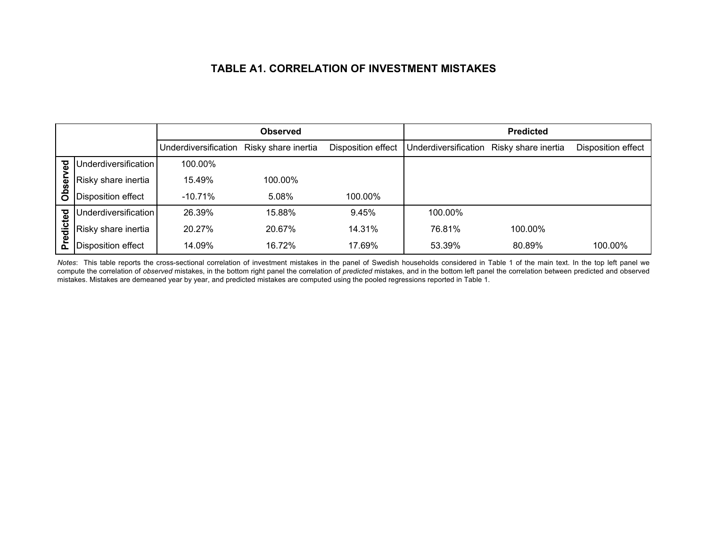## **TABLE A1. CORRELATION OF INVESTMENT MISTAKES**

|         |                      |                      | <b>Observed</b>     |                    |                      | <b>Predicted</b>    |                    |
|---------|----------------------|----------------------|---------------------|--------------------|----------------------|---------------------|--------------------|
|         |                      | Underdiversification | Risky share inertia | Disposition effect | Underdiversification | Risky share inertia | Disposition effect |
| ढ़      | Underdiversification | 100.00%              |                     |                    |                      |                     |                    |
|         | Risky share inertia  | 15.49%               | 100.00%             |                    |                      |                     |                    |
| Obser   | Disposition effect   | $-10.71\%$           | 5.08%               | 100.00%            |                      |                     |                    |
|         | Underdiversification | 26.39%               | 15.88%              | 9.45%              | 100.00%              |                     |                    |
| edicted | Risky share inertia  | 20.27%               | 20.67%              | 14.31%             | 76.81%               | 100.00%             |                    |
| ᇍ       | Disposition effect   | 14.09%               | 16.72%              | 17.69%             | 53.39%               | 80.89%              | 100.00%            |

*Notes*: This table reports the cross-sectional correlation of investment mistakes in the panel of Swedish households considered in Table 1 of the main text. In the top left panel we compute the correlation of *observed* mistakes, in the bottom right panel the correlation of *predicted* mistakes, and in the bottom left panel the correlation between predicted and observed mistakes. Mistakes are demeaned year by year, and predicted mistakes are computed using the pooled regressions reported in Table 1.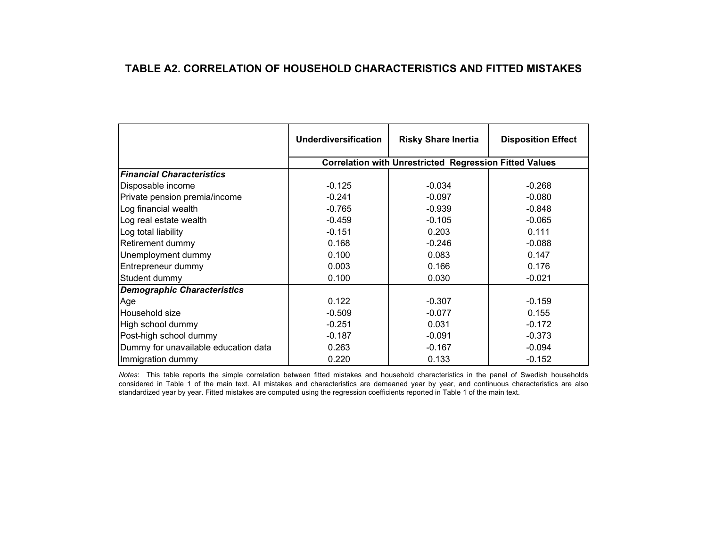## **TABLE A2. CORRELATION OF HOUSEHOLD CHARACTERISTICS AND FITTED MISTAKES**

|                                      | <b>Underdiversification</b> | <b>Risky Share Inertia</b>                                    | <b>Disposition Effect</b> |
|--------------------------------------|-----------------------------|---------------------------------------------------------------|---------------------------|
|                                      |                             | <b>Correlation with Unrestricted Regression Fitted Values</b> |                           |
| <b>Financial Characteristics</b>     |                             |                                                               |                           |
| Disposable income                    | $-0.125$                    | $-0.034$                                                      | $-0.268$                  |
| Private pension premia/income        | $-0.241$                    | $-0.097$                                                      | $-0.080$                  |
| Log financial wealth                 | $-0.765$                    | $-0.939$                                                      | $-0.848$                  |
| Log real estate wealth               | $-0.459$                    | $-0.105$                                                      | $-0.065$                  |
| Log total liability                  | $-0.151$                    | 0.203                                                         | 0.111                     |
| Retirement dummy                     | 0.168                       | $-0.246$                                                      | $-0.088$                  |
| Unemployment dummy                   | 0.100                       | 0.083                                                         | 0.147                     |
| Entrepreneur dummy                   | 0.003                       | 0.166                                                         | 0.176                     |
| Student dummy                        | 0.100                       | 0.030                                                         | $-0.021$                  |
| <b>Demographic Characteristics</b>   |                             |                                                               |                           |
| Age                                  | 0.122                       | $-0.307$                                                      | $-0.159$                  |
| Household size                       | $-0.509$                    | $-0.077$                                                      | 0.155                     |
| High school dummy                    | $-0.251$                    | 0.031                                                         | $-0.172$                  |
| Post-high school dummy               | $-0.187$                    | $-0.091$                                                      | $-0.373$                  |
| Dummy for unavailable education data | 0.263                       | $-0.167$                                                      | $-0.094$                  |
| Immigration dummy                    | 0.220                       | 0.133                                                         | $-0.152$                  |

*Notes*: This table reports the simple correlation between fitted mistakes and household characteristics in the panel of Swedish households considered in Table 1 of the main text. All mistakes and characteristics are demeaned year by year, and continuous characteristics are also standardized year by year. Fitted mistakes are computed using the regression coefficients reported in Table 1 of the main text.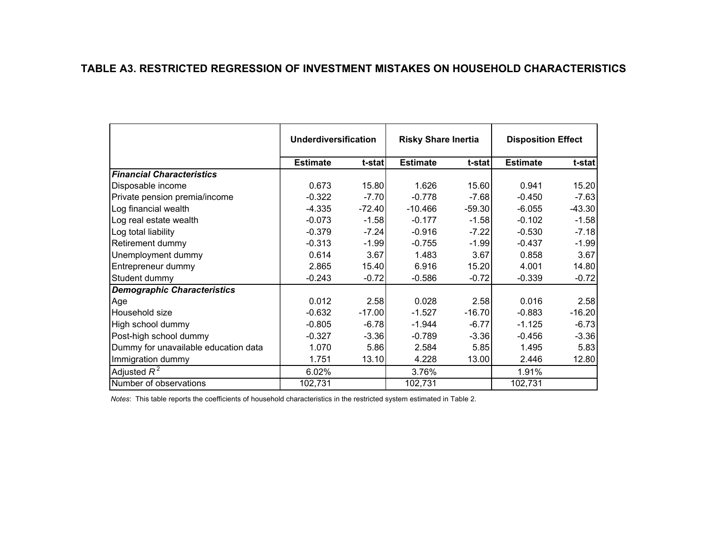## **TABLE A3. RESTRICTED REGRESSION OF INVESTMENT MISTAKES ON HOUSEHOLD CHARACTERISTICS**

|                                      | <b>Underdiversification</b> |          | <b>Risky Share Inertia</b> |          | <b>Disposition Effect</b> |          |
|--------------------------------------|-----------------------------|----------|----------------------------|----------|---------------------------|----------|
|                                      | <b>Estimate</b>             | t-stat   | <b>Estimate</b>            | t-stat   | <b>Estimate</b>           | t-stat   |
| <b>Financial Characteristics</b>     |                             |          |                            |          |                           |          |
| Disposable income                    | 0.673                       | 15.80    | 1.626                      | 15.60    | 0.941                     | 15.20    |
| Private pension premia/income        | $-0.322$                    | $-7.70$  | $-0.778$                   | $-7.68$  | $-0.450$                  | $-7.63$  |
| Log financial wealth                 | $-4.335$                    | $-72.40$ | $-10.466$                  | $-59.30$ | $-6.055$                  | $-43.30$ |
| Log real estate wealth               | $-0.073$                    | $-1.58$  | $-0.177$                   | $-1.58$  | $-0.102$                  | $-1.58$  |
| Log total liability                  | $-0.379$                    | $-7.24$  | $-0.916$                   | $-7.22$  | $-0.530$                  | $-7.18$  |
| Retirement dummy                     | $-0.313$                    | $-1.99$  | $-0.755$                   | $-1.99$  | $-0.437$                  | $-1.99$  |
| Unemployment dummy                   | 0.614                       | 3.67     | 1.483                      | 3.67     | 0.858                     | 3.67     |
| Entrepreneur dummy                   | 2.865                       | 15.40    | 6.916                      | 15.20    | 4.001                     | 14.80    |
| Student dummy                        | $-0.243$                    | $-0.72$  | $-0.586$                   | $-0.72$  | $-0.339$                  | $-0.72$  |
| <b>Demographic Characteristics</b>   |                             |          |                            |          |                           |          |
| Age                                  | 0.012                       | 2.58     | 0.028                      | 2.58     | 0.016                     | 2.58     |
| Household size                       | $-0.632$                    | $-17.00$ | $-1.527$                   | $-16.70$ | $-0.883$                  | $-16.20$ |
| High school dummy                    | $-0.805$                    | $-6.78$  | $-1.944$                   | $-6.77$  | $-1.125$                  | $-6.73$  |
| Post-high school dummy               | $-0.327$                    | $-3.36$  | $-0.789$                   | $-3.36$  | $-0.456$                  | $-3.36$  |
| Dummy for unavailable education data | 1.070                       | 5.86     | 2.584                      | 5.85     | 1.495                     | 5.83     |
| Immigration dummy                    | 1.751                       | 13.10    | 4.228                      | 13.00    | 2.446                     | 12.80    |
| Adjusted $R^2$                       | 6.02%                       |          | 3.76%                      |          | 1.91%                     |          |
| Number of observations               | 102,731                     |          | 102,731                    |          | 102,731                   |          |

*Notes*: This table reports the coefficients of household characteristics in the restricted system estimated in Table 2.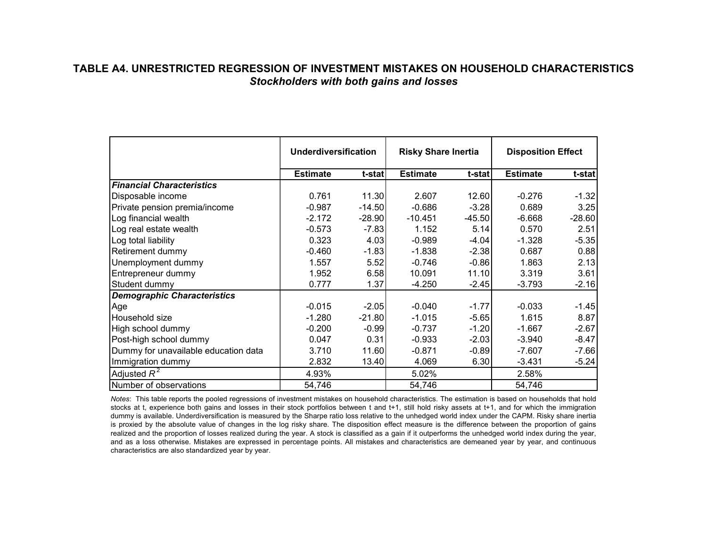## **TABLE A4. UNRESTRICTED REGRESSION OF INVESTMENT MISTAKES ON HOUSEHOLD CHARACTERISTICS***Stockholders with both gains and losses*

|                                      | <b>Underdiversification</b> |          | <b>Risky Share Inertia</b> |          | <b>Disposition Effect</b> |          |
|--------------------------------------|-----------------------------|----------|----------------------------|----------|---------------------------|----------|
|                                      | <b>Estimate</b>             | t-stat   | <b>Estimate</b>            | t-stat   | <b>Estimate</b>           | t-stat   |
| <b>Financial Characteristics</b>     |                             |          |                            |          |                           |          |
| Disposable income                    | 0.761                       | 11.30    | 2.607                      | 12.60    | $-0.276$                  | $-1.32$  |
| Private pension premia/income        | $-0.987$                    | $-14.50$ | $-0.686$                   | $-3.28$  | 0.689                     | 3.25     |
| Log financial wealth                 | $-2.172$                    | $-28.90$ | $-10.451$                  | $-45.50$ | $-6.668$                  | $-28.60$ |
| Log real estate wealth               | $-0.573$                    | $-7.83$  | 1.152                      | 5.14     | 0.570                     | 2.51     |
| Log total liability                  | 0.323                       | 4.03     | $-0.989$                   | $-4.04$  | $-1.328$                  | $-5.35$  |
| Retirement dummy                     | $-0.460$                    | $-1.83$  | $-1.838$                   | $-2.38$  | 0.687                     | 0.88     |
| Unemployment dummy                   | 1.557                       | 5.52     | $-0.746$                   | $-0.86$  | 1.863                     | 2.13     |
| Entrepreneur dummy                   | 1.952                       | 6.58     | 10.091                     | 11.10    | 3.319                     | 3.61     |
| Student dummy                        | 0.777                       | 1.37     | $-4.250$                   | $-2.45$  | $-3.793$                  | $-2.16$  |
| <b>Demographic Characteristics</b>   |                             |          |                            |          |                           |          |
| Age                                  | $-0.015$                    | $-2.05$  | $-0.040$                   | $-1.77$  | $-0.033$                  | $-1.45$  |
| IHousehold size                      | $-1.280$                    | $-21.80$ | $-1.015$                   | $-5.65$  | 1.615                     | 8.87     |
| High school dummy                    | $-0.200$                    | $-0.99$  | $-0.737$                   | $-1.20$  | $-1.667$                  | $-2.67$  |
| Post-high school dummy               | 0.047                       | 0.31     | $-0.933$                   | $-2.03$  | $-3.940$                  | $-8.47$  |
| Dummy for unavailable education data | 3.710                       | 11.60    | $-0.871$                   | $-0.89$  | $-7.607$                  | $-7.66$  |
| Immigration dummy                    | 2.832                       | 13.40    | 4.069                      | 6.30     | $-3.431$                  | $-5.24$  |
| Adjusted $R^2$                       | 4.93%                       |          | 5.02%                      |          | 2.58%                     |          |
| Number of observations               | 54,746                      |          | 54,746                     |          | 54,746                    |          |

*Notes*: This table reports the pooled regressions of investment mistakes on household characteristics. The estimation is based on households that hold stocks at t, experience both gains and losses in their stock portfolios between t and t+1, still hold risky assets at t+1, and for which the immigration dummy is available. Underdiversification is measured by the Sharpe ratio loss relative to the unhedged world index under the CAPM. Risky share inertia is proxied by the absolute value of changes in the log risky share. The disposition effect measure is the difference between the proportion of gains realized and the proportion of losses realized during the year. A stock is classified as a gain if it outperforms the unhedged world index during the year, and as a loss otherwise. Mistakes are expressed in percentage points. All mistakes and characteristics are demeaned year by year, and continuous characteristics are also standardized year by year.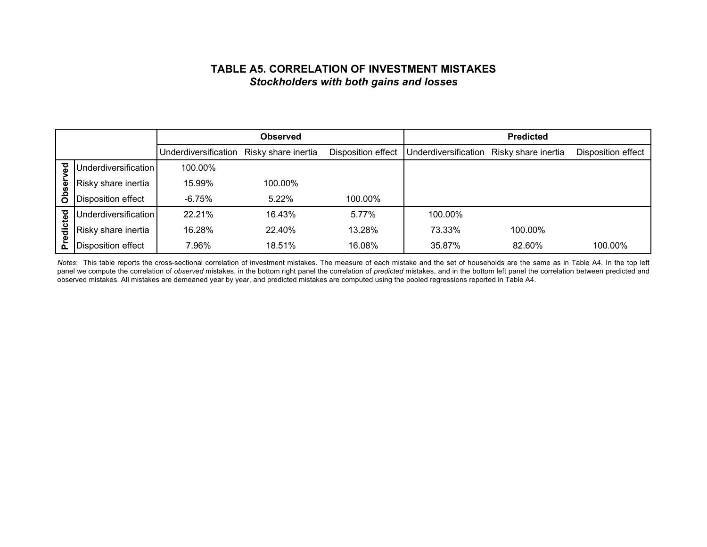## **TABLE A5. CORRELATION OF INVESTMENT MISTAKES***Stockholders with both gains and losses*

|                         |                           |                      | <b>Observed</b>     |                    |                      | <b>Predicted</b>    |                    |
|-------------------------|---------------------------|----------------------|---------------------|--------------------|----------------------|---------------------|--------------------|
|                         |                           | Underdiversification | Risky share inertia | Disposition effect | Underdiversification | Risky share inertia | Disposition effect |
|                         | Underdiversification      | 100.00%              |                     |                    |                      |                     |                    |
|                         | Risky share inertia       | 15.99%               | 100.00%             |                    |                      |                     |                    |
| Obsei                   | Disposition effect        | -6.75%               | 5.22%               | 100.00%            |                      |                     |                    |
|                         | Underdiversification      | 22.21%               | 16.43%              | 5.77%              | 100.00%              |                     |                    |
| edicted                 | Risky share inertia       | 16.28%               | 22.40%              | 13.28%             | 73.33%               | 100.00%             |                    |
| $\overline{\mathbf{a}}$ | <b>Disposition effect</b> | 7.96%                | 18.51%              | 16.08%             | 35.87%               | 82.60%              | 100.00%            |

*Notes*: This table reports the cross-sectional correlation of investment mistakes. The measure of each mistake and the set of households are the same as in Table A4. In the top left panel we compute the correlation of *observed* mistakes, in the bottom right panel the correlation of *predicted* mistakes, and in the bottom left panel the correlation between predicted and observed mistakes. All mistakes are demeaned year by year, and predicted mistakes are computed using the pooled regressions reported in Table A4.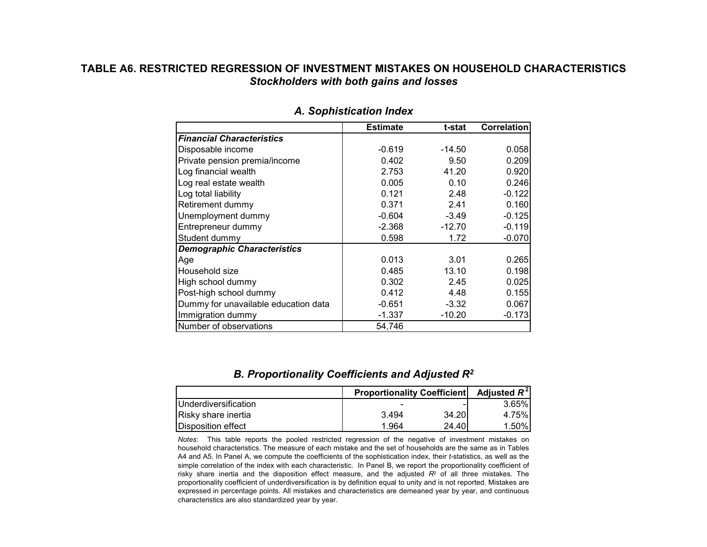## **TABLE A6. RESTRICTED REGRESSION OF INVESTMENT MISTAKES ON HOUSEHOLD CHARACTERISTICS***Stockholders with both gains and losses*

|                                      | <b>Estimate</b> | t-stat   | <b>Correlation</b> |
|--------------------------------------|-----------------|----------|--------------------|
| <b>Financial Characteristics</b>     |                 |          |                    |
| Disposable income                    | $-0.619$        | $-14.50$ | 0.058              |
| Private pension premia/income        | 0.402           | 9.50     | 0.209              |
| Log financial wealth                 | 2.753           | 41.20    | 0.920              |
| Log real estate wealth               | 0.005           | 0.10     | 0.246              |
| Log total liability                  | 0.121           | 2.48     | $-0.122$           |
| Retirement dummy                     | 0.371           | 2.41     | 0.160              |
| Unemployment dummy                   | $-0.604$        | $-3.49$  | $-0.125$           |
| Entrepreneur dummy                   | $-2.368$        | $-12.70$ | $-0.119$           |
| Student dummy                        | 0.598           | 1.72     | $-0.070$           |
| <b>Demographic Characteristics</b>   |                 |          |                    |
| Age                                  | 0.013           | 3.01     | 0.265              |
| Household size                       | 0.485           | 13.10    | 0.198              |
| High school dummy                    | 0.302           | 2.45     | 0.025              |
| Post-high school dummy               | 0.412           | 4.48     | 0.155              |
| Dummy for unavailable education data | $-0.651$        | $-3.32$  | 0.067              |
| Immigration dummy                    | $-1.337$        | $-10.20$ | $-0.173$           |
| Number of observations               | 54,746          |          |                    |

#### *A. Sophistication Index*

#### *B. Proportionality Coefficients and Adjusted R2*

|                      | <b>Proportionality Coefficient</b> | Adjusted $R^2$ |          |
|----------------------|------------------------------------|----------------|----------|
| Underdiversification |                                    |                | $3.65\%$ |
| Risky share inertia  | 3.494                              | 34.20          | 4.75%    |
| Disposition effect   | 1.964                              | 24.40          | $1.50\%$ |

*Notes*: This table reports the pooled restricted regression of the negative of investment mistakes on household characteristics. The measure of each mistake and the set of households are the same as in Tables A4 and A5. In Panel A, we compute the coefficients of the sophistication index, their *t*-statistics, as well as the simple correlation of the index with each characteristic. In Panel B, we report the proportionality coefficient of risky share inertia and the disposition effect measure, and the adjusted *R*<sup>2</sup> of all three mistakes. The proportionality coefficient of underdiversification is by definition equal to unity and is not reported. Mistakes are expressed in percentage points. All mistakes and characteristics are demeaned year by year, and continuous characteristics are also standardized year by year.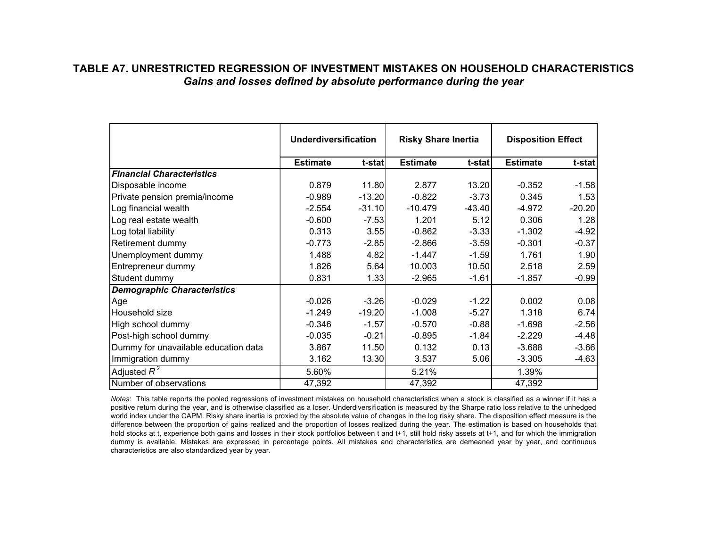## **TABLE A7. UNRESTRICTED REGRESSION OF INVESTMENT MISTAKES ON HOUSEHOLD CHARACTERISTICS***Gains and losses defined by absolute performance during the year*

|                                      | <b>Underdiversification</b> |          | <b>Risky Share Inertia</b> |          | <b>Disposition Effect</b> |          |
|--------------------------------------|-----------------------------|----------|----------------------------|----------|---------------------------|----------|
|                                      | <b>Estimate</b>             | t-stat   | <b>Estimate</b>            | t-stat   | <b>Estimate</b>           | t-stat   |
| <b>Financial Characteristics</b>     |                             |          |                            |          |                           |          |
| Disposable income                    | 0.879                       | 11.80    | 2.877                      | 13.20    | $-0.352$                  | $-1.58$  |
| Private pension premia/income        | $-0.989$                    | $-13.20$ | $-0.822$                   | $-3.73$  | 0.345                     | 1.53     |
| Log financial wealth                 | $-2.554$                    | $-31.10$ | $-10.479$                  | $-43.40$ | $-4.972$                  | $-20.20$ |
| Log real estate wealth               | $-0.600$                    | $-7.53$  | 1.201                      | 5.12     | 0.306                     | 1.28     |
| Log total liability                  | 0.313                       | 3.55     | $-0.862$                   | $-3.33$  | $-1.302$                  | $-4.92$  |
| Retirement dummy                     | $-0.773$                    | $-2.85$  | $-2.866$                   | $-3.59$  | $-0.301$                  | $-0.37$  |
| Unemployment dummy                   | 1.488                       | 4.82     | $-1.447$                   | $-1.59$  | 1.761                     | 1.90     |
| Entrepreneur dummy                   | 1.826                       | 5.64     | 10.003                     | 10.50    | 2.518                     | 2.59     |
| Student dummy                        | 0.831                       | 1.33     | $-2.965$                   | $-1.61$  | $-1.857$                  | $-0.99$  |
| <b>Demographic Characteristics</b>   |                             |          |                            |          |                           |          |
| Age                                  | $-0.026$                    | $-3.26$  | $-0.029$                   | $-1.22$  | 0.002                     | 0.08     |
| Household size                       | $-1.249$                    | $-19.20$ | $-1.008$                   | $-5.27$  | 1.318                     | 6.74     |
| High school dummy                    | $-0.346$                    | $-1.57$  | $-0.570$                   | $-0.88$  | $-1.698$                  | $-2.56$  |
| Post-high school dummy               | $-0.035$                    | $-0.21$  | $-0.895$                   | $-1.84$  | $-2.229$                  | $-4.48$  |
| Dummy for unavailable education data | 3.867                       | 11.50    | 0.132                      | 0.13     | $-3.688$                  | $-3.66$  |
| Immigration dummy                    | 3.162                       | 13.30    | 3.537                      | 5.06     | $-3.305$                  | $-4.63$  |
| Adjusted $R^2$                       | 5.60%                       |          | 5.21%                      |          | 1.39%                     |          |
| Number of observations               | 47,392                      |          | 47,392                     |          | 47,392                    |          |

*Notes*: This table reports the pooled regressions of investment mistakes on household characteristics when a stock is classified as a winner if it has a positive return during the year, and is otherwise classified as a loser. Underdiversification is measured by the Sharpe ratio loss relative to the unhedged world index under the CAPM. Risky share inertia is proxied by the absolute value of changes in the log risky share. The disposition effect measure is the difference between the proportion of gains realized and the proportion of losses realized during the year. The estimation is based on households that hold stocks at t, experience both gains and losses in their stock portfolios between t and t+1, still hold risky assets at t+1, and for which the immigration dummy is available. Mistakes are expressed in percentage points. All mistakes and characteristics are demeaned year by year, and continuous characteristics are also standardized year by year.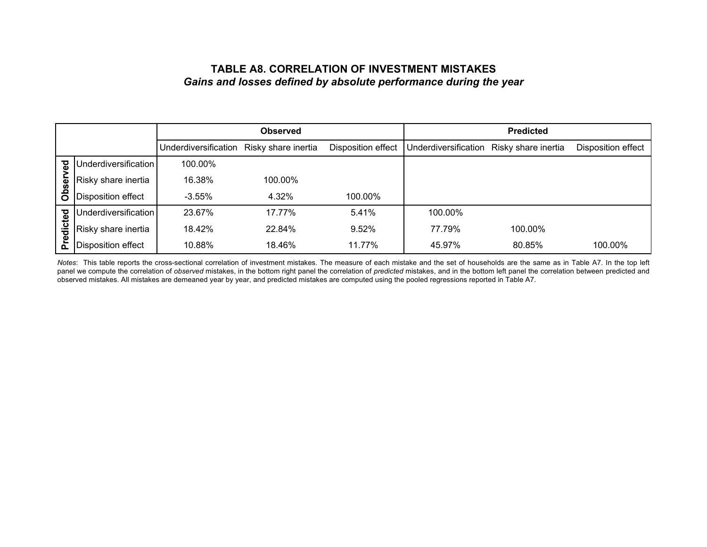## **TABLE A8. CORRELATION OF INVESTMENT MISTAKES***Gains and losses defined by absolute performance during the year*

|            |                      |                      | <b>Observed</b>     |                    |                      | <b>Predicted</b>    |                    |
|------------|----------------------|----------------------|---------------------|--------------------|----------------------|---------------------|--------------------|
|            |                      | Underdiversification | Risky share inertia | Disposition effect | Underdiversification | Risky share inertia | Disposition effect |
| ਲ਼         | Underdiversification | 100.00%              |                     |                    |                      |                     |                    |
|            | Risky share inertia  | 16.38%               | 100.00%             |                    |                      |                     |                    |
| Obser      | Disposition effect   | $-3.55\%$            | 4.32%               | 100.00%            |                      |                     |                    |
| <b>Del</b> | Underdiversification | 23.67%               | 17.77%              | 5.41%              | 100.00%              |                     |                    |
| edict      | Risky share inertia  | 18.42%               | 22.84%              | 9.52%              | 77.79%               | 100.00%             |                    |
| ᇍ          | Disposition effect   | 10.88%               | 18.46%              | 11.77%             | 45.97%               | 80.85%              | 100.00%            |

*Notes*: This table reports the cross-sectional correlation of investment mistakes. The measure of each mistake and the set of households are the same as in Table A7. In the top left panel we compute the correlation of *observed* mistakes, in the bottom right panel the correlation of *predicted* mistakes, and in the bottom left panel the correlation between predicted and observed mistakes. All mistakes are demeaned year by year, and predicted mistakes are computed using the pooled regressions reported in Table A7.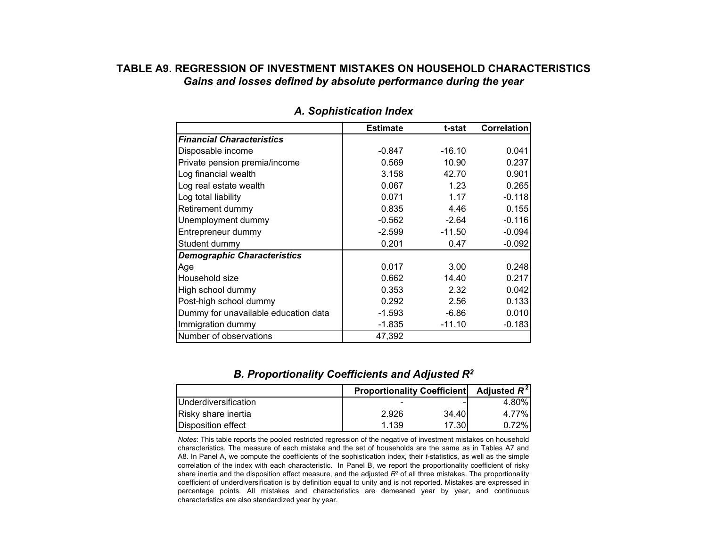## **TABLE A9. REGRESSION OF INVESTMENT MISTAKES ON HOUSEHOLD CHARACTERISTICS***Gains and losses defined by absolute performance during the year*

|                                      | <b>Estimate</b> | t-stat   | Correlation |
|--------------------------------------|-----------------|----------|-------------|
| <b>Financial Characteristics</b>     |                 |          |             |
| Disposable income                    | $-0.847$        | $-16.10$ | 0.041       |
| Private pension premia/income        | 0.569           | 10.90    | 0.237       |
| Log financial wealth                 | 3.158           | 42.70    | 0.901       |
| Log real estate wealth               | 0.067           | 1.23     | 0.265       |
| Log total liability                  | 0.071           | 1.17     | $-0.118$    |
| Retirement dummy                     | 0.835           | 4.46     | 0.155       |
| Unemployment dummy                   | -0.562          | $-2.64$  | $-0.116$    |
| Entrepreneur dummy                   | $-2.599$        | $-11.50$ | $-0.094$    |
| Student dummy                        | 0.201           | 0.47     | $-0.092$    |
| <b>Demographic Characteristics</b>   |                 |          |             |
| Age                                  | 0.017           | 3.00     | 0.248       |
| Household size                       | 0.662           | 14.40    | 0.217       |
| High school dummy                    | 0.353           | 2.32     | 0.042       |
| Post-high school dummy               | 0.292           | 2.56     | 0.133       |
| Dummy for unavailable education data | $-1.593$        | $-6.86$  | 0.010       |
| Immigration dummy                    | $-1.835$        | $-11.10$ | $-0.183$    |
| Number of observations               | 47,392          |          |             |

*A. Sophistication Index*

#### *B. Proportionality Coefficients and Adjusted R2*

|                               | <b>Proportionality Coefficient</b> | Adjusted $R^2$ |        |
|-------------------------------|------------------------------------|----------------|--------|
| <b>I</b> Underdiversification |                                    |                | 4.80%I |
| Risky share inertia           | 2.926                              | 34.40          | 4.77%I |
| <b>IDisposition effect</b>    | 1.139                              | 17.301         | 0.72%  |

*Notes*: This table reports the pooled restricted regression of the negative of investment mistakes on household characteristics. The measure of each mistake and the set of households are the same as in Tables A7 and A8. In Panel A, we compute the coefficients of the sophistication index, their *t*-statistics, as well as the simple correlation of the index with each characteristic. In Panel B, we report the proportionality coefficient of risky share inertia and the disposition effect measure, and the adjusted *R*<sup>2</sup> of all three mistakes. The proportionality coefficient of underdiversification is by definition equal to unity and is not reported. Mistakes are expressed in percentage points. All mistakes and characteristics are demeaned year by year, and continuous characteristics are also standardized year by year.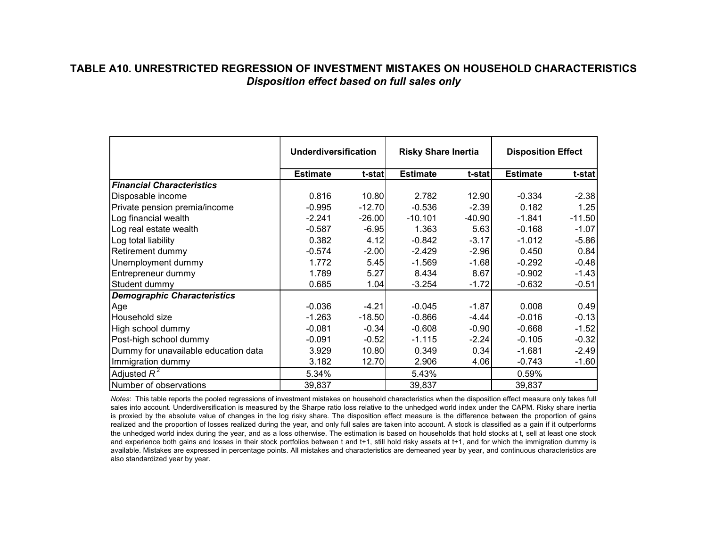## **TABLE A10. UNRESTRICTED REGRESSION OF INVESTMENT MISTAKES ON HOUSEHOLD CHARACTERISTICS***Disposition effect based on full sales only*

|                                      | <b>Underdiversification</b> |          | <b>Risky Share Inertia</b> |          | <b>Disposition Effect</b> |          |
|--------------------------------------|-----------------------------|----------|----------------------------|----------|---------------------------|----------|
|                                      | <b>Estimate</b>             | t-stat   | <b>Estimate</b>            | t-stat   | <b>Estimate</b>           | t-stat   |
| <b>Financial Characteristics</b>     |                             |          |                            |          |                           |          |
| Disposable income                    | 0.816                       | 10.80    | 2.782                      | 12.90    | $-0.334$                  | $-2.38$  |
| Private pension premia/income        | $-0.995$                    | $-12.70$ | $-0.536$                   | $-2.39$  | 0.182                     | 1.25     |
| Log financial wealth                 | $-2.241$                    | $-26.00$ | $-10.101$                  | $-40.90$ | $-1.841$                  | $-11.50$ |
| Log real estate wealth               | $-0.587$                    | $-6.95$  | 1.363                      | 5.63     | $-0.168$                  | $-1.07$  |
| Log total liability                  | 0.382                       | 4.12     | $-0.842$                   | $-3.17$  | $-1.012$                  | $-5.86$  |
| Retirement dummy                     | $-0.574$                    | $-2.00$  | $-2.429$                   | $-2.96$  | 0.450                     | 0.84     |
| Unemployment dummy                   | 1.772                       | 5.45     | $-1.569$                   | $-1.68$  | $-0.292$                  | $-0.48$  |
| Entrepreneur dummy                   | 1.789                       | 5.27     | 8.434                      | 8.67     | $-0.902$                  | $-1.43$  |
| Student dummy                        | 0.685                       | 1.04     | $-3.254$                   | $-1.72$  | $-0.632$                  | $-0.51$  |
| <b>Demographic Characteristics</b>   |                             |          |                            |          |                           |          |
| Age                                  | $-0.036$                    | $-4.21$  | $-0.045$                   | $-1.87$  | 0.008                     | 0.49     |
| Household size                       | $-1.263$                    | $-18.50$ | $-0.866$                   | $-4.44$  | $-0.016$                  | $-0.13$  |
| High school dummy                    | $-0.081$                    | $-0.34$  | $-0.608$                   | $-0.90$  | $-0.668$                  | $-1.52$  |
| Post-high school dummy               | $-0.091$                    | $-0.52$  | $-1.115$                   | $-2.24$  | $-0.105$                  | $-0.32$  |
| Dummy for unavailable education data | 3.929                       | 10.80    | 0.349                      | 0.34     | $-1.681$                  | $-2.49$  |
| Immigration dummy                    | 3.182                       | 12.70    | 2.906                      | 4.06     | $-0.743$                  | $-1.60$  |
| Adjusted $R^2$                       | 5.34%                       |          | 5.43%                      |          | 0.59%                     |          |
| Number of observations               | 39,837                      |          | 39,837                     |          | 39,837                    |          |

*Notes*: This table reports the pooled regressions of investment mistakes on household characteristics when the disposition effect measure only takes full sales into account. Underdiversification is measured by the Sharpe ratio loss relative to the unhedged world index under the CAPM. Risky share inertia is proxied by the absolute value of changes in the log risky share. The disposition effect measure is the difference between the proportion of gains realized and the proportion of losses realized during the year, and only full sales are taken into account. A stock is classified as a gain if it outperforms the unhedged world index during the year, and as a loss otherwise. The estimation is based on households that hold stocks at t, sell at least one stock and experience both gains and losses in their stock portfolios between t and t+1, still hold risky assets at t+1, and for which the immigration dummy is available. Mistakes are expressed in percentage points. All mistakes and characteristics are demeaned year by year, and continuous characteristics are also standardized year by year.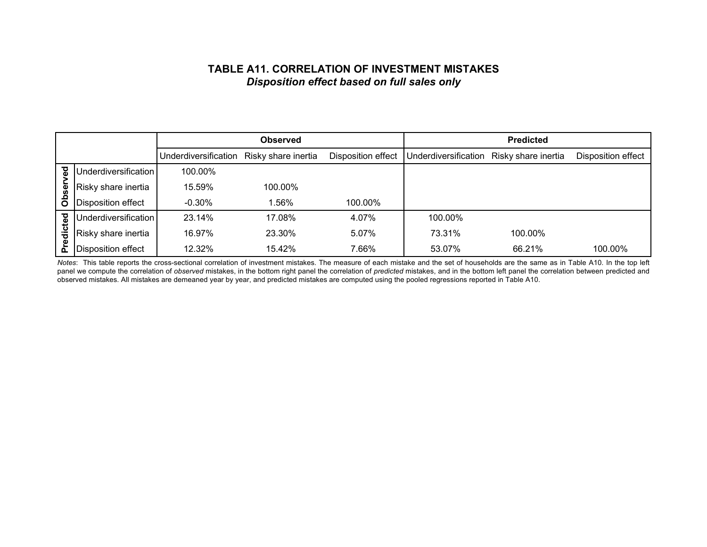## **TABLE A11. CORRELATION OF INVESTMENT MISTAKES***Disposition effect based on full sales only*

|          |                      |                      | <b>Observed</b>     |                    |                      | <b>Predicted</b>    |                    |
|----------|----------------------|----------------------|---------------------|--------------------|----------------------|---------------------|--------------------|
|          |                      | Underdiversification | Risky share inertia | Disposition effect | Underdiversification | Risky share inertia | Disposition effect |
| ್ಠಾ      | Underdiversification | 100.00%              |                     |                    |                      |                     |                    |
| <u>ଡ</u> | Risky share inertia  | 15.59%               | 100.00%             |                    |                      |                     |                    |
| ဝိ       | Disposition effect   | $-0.30\%$            | 1.56%               | 100.00%            |                      |                     |                    |
|          | Underdiversification | 23.14%               | 17.08%              | 4.07%              | 100.00%              |                     |                    |
| edicted  | Risky share inertia  | 16.97%               | 23.30%              | 5.07%              | 73.31%               | 100.00%             |                    |
|          | Disposition effect   | 12.32%               | 15.42%              | 7.66%              | 53.07%               | 66.21%              | 100.00%            |

*Notes*: This table reports the cross-sectional correlation of investment mistakes. The measure of each mistake and the set of households are the same as in Table A10. In the top left panel we compute the correlation of *observed* mistakes, in the bottom right panel the correlation of *predicted* mistakes, and in the bottom left panel the correlation between predicted and observed mistakes. All mistakes are demeaned year by year, and predicted mistakes are computed using the pooled regressions reported in Table A10.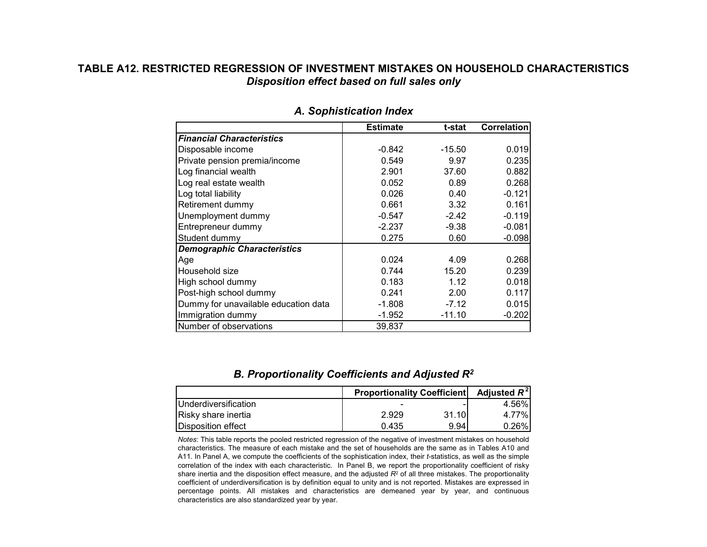## **TABLE A12. RESTRICTED REGRESSION OF INVESTMENT MISTAKES ON HOUSEHOLD CHARACTERISTICS***Disposition effect based on full sales only*

|                                      | <b>Estimate</b> | t-stat   | <b>Correlation</b> |
|--------------------------------------|-----------------|----------|--------------------|
| <b>Financial Characteristics</b>     |                 |          |                    |
| Disposable income                    | $-0.842$        | $-15.50$ | 0.019              |
| Private pension premia/income        | 0.549           | 9.97     | 0.235              |
| Log financial wealth                 | 2.901           | 37.60    | 0.882              |
| Log real estate wealth               | 0.052           | 0.89     | 0.268              |
| Log total liability                  | 0.026           | 0.40     | $-0.121$           |
| Retirement dummy                     | 0.661           | 3.32     | 0.161              |
| Unemployment dummy                   | $-0.547$        | $-2.42$  | $-0.119$           |
| Entrepreneur dummy                   | $-2.237$        | $-9.38$  | $-0.081$           |
| Student dummy                        | 0.275           | 0.60     | $-0.098$           |
| <b>Demographic Characteristics</b>   |                 |          |                    |
| Age                                  | 0.024           | 4.09     | 0.268              |
| Household size                       | 0.744           | 15.20    | 0.239              |
| High school dummy                    | 0.183           | 1.12     | 0.018              |
| Post-high school dummy               | 0.241           | 2.00     | 0.117              |
| Dummy for unavailable education data | $-1.808$        | $-7.12$  | 0.015              |
| Immigration dummy                    | $-1.952$        | $-11.10$ | $-0.202$           |
| Number of observations               | 39,837          |          |                    |

#### *A. Sophistication Index*

## *B. Proportionality Coefficients and Adjusted R2*

|                               | <b>Proportionality Coefficient</b> | Adjusted $R^2$ |          |
|-------------------------------|------------------------------------|----------------|----------|
| <b>I</b> Underdiversification |                                    |                | 4.56%    |
| Risky share inertia           | 2.929                              | 31.10          | $4.77\%$ |
| Disposition effect            | 0.435                              | 9.94           | $0.26\%$ |

*Notes*: This table reports the pooled restricted regression of the negative of investment mistakes on household characteristics. The measure of each mistake and the set of households are the same as in Tables A10 and A11. In Panel A, we compute the coefficients of the sophistication index, their *t*-statistics, as well as the simple correlation of the index with each characteristic. In Panel B, we report the proportionality coefficient of risky share inertia and the disposition effect measure, and the adjusted *R*<sup>2</sup> of all three mistakes. The proportionality coefficient of underdiversification is by definition equal to unity and is not reported. Mistakes are expressed in percentage points. All mistakes and characteristics are demeaned year by year, and continuous characteristics are also standardized year by year.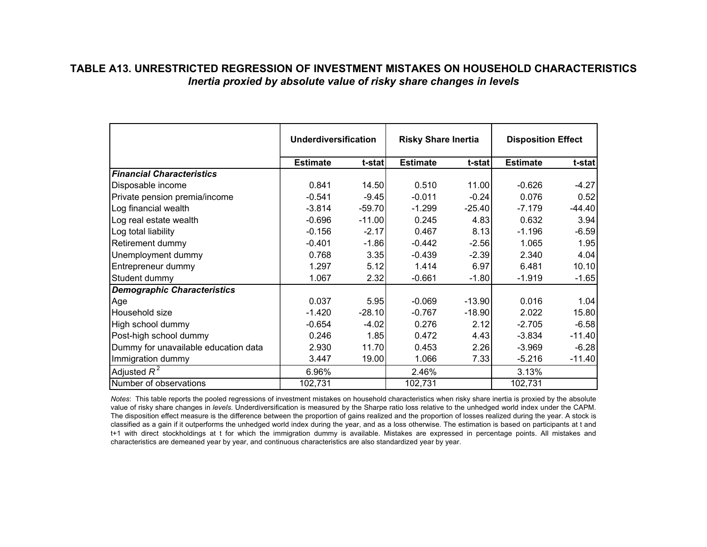## **TABLE A13. UNRESTRICTED REGRESSION OF INVESTMENT MISTAKES ON HOUSEHOLD CHARACTERISTICS***Inertia proxied by absolute value of risky share changes in levels*

|                                      | <b>Underdiversification</b> |          | <b>Risky Share Inertia</b> |          | <b>Disposition Effect</b> |          |
|--------------------------------------|-----------------------------|----------|----------------------------|----------|---------------------------|----------|
|                                      | <b>Estimate</b>             | t-stat   | <b>Estimate</b>            | t-stat   | <b>Estimate</b>           | t-stat   |
| <b>Financial Characteristics</b>     |                             |          |                            |          |                           |          |
| Disposable income                    | 0.841                       | 14.50    | 0.510                      | 11.00    | $-0.626$                  | $-4.27$  |
| Private pension premia/income        | $-0.541$                    | $-9.45$  | $-0.011$                   | $-0.24$  | 0.076                     | 0.52     |
| Log financial wealth                 | $-3.814$                    | $-59.70$ | $-1.299$                   | $-25.40$ | $-7.179$                  | $-44.40$ |
| Log real estate wealth               | $-0.696$                    | $-11.00$ | 0.245                      | 4.83     | 0.632                     | 3.94     |
| Log total liability                  | $-0.156$                    | $-2.17$  | 0.467                      | 8.13     | $-1.196$                  | $-6.59$  |
| Retirement dummy                     | $-0.401$                    | $-1.86$  | $-0.442$                   | $-2.56$  | 1.065                     | 1.95     |
| Unemployment dummy                   | 0.768                       | 3.35     | $-0.439$                   | $-2.39$  | 2.340                     | 4.04     |
| Entrepreneur dummy                   | 1.297                       | 5.12     | 1.414                      | 6.97     | 6.481                     | 10.10    |
| Student dummy                        | 1.067                       | 2.32     | $-0.661$                   | $-1.80$  | $-1.919$                  | $-1.65$  |
| <b>Demographic Characteristics</b>   |                             |          |                            |          |                           |          |
| Age                                  | 0.037                       | 5.95     | $-0.069$                   | $-13.90$ | 0.016                     | 1.04     |
| Household size                       | $-1.420$                    | $-28.10$ | $-0.767$                   | $-18.90$ | 2.022                     | 15.80    |
| High school dummy                    | $-0.654$                    | $-4.02$  | 0.276                      | 2.12     | $-2.705$                  | $-6.58$  |
| Post-high school dummy               | 0.246                       | 1.85     | 0.472                      | 4.43     | $-3.834$                  | $-11.40$ |
| Dummy for unavailable education data | 2.930                       | 11.70    | 0.453                      | 2.26     | $-3.969$                  | $-6.28$  |
| Immigration dummy                    | 3.447                       | 19.00    | 1.066                      | 7.33     | $-5.216$                  | $-11.40$ |
| Adjusted $R^2$                       | 6.96%                       |          | 2.46%                      |          | 3.13%                     |          |
| Number of observations               | 102,731                     |          | 102,731                    |          | 102,731                   |          |

*Notes*: This table reports the pooled regressions of investment mistakes on household characteristics when risky share inertia is proxied by the absolute value of risky share changes in *levels*. Underdiversification is measured by the Sharpe ratio loss relative to the unhedged world index under the CAPM. The disposition effect measure is the difference between the proportion of gains realized and the proportion of losses realized during the year. A stock is classified as a gain if it outperforms the unhedged world index during the year, and as a loss otherwise. The estimation is based on participants at t and t+1 with direct stockholdings at t for which the immigration dummy is available. Mistakes are expressed in percentage points. All mistakes and characteristics are demeaned year by year, and continuous characteristics are also standardized year by year.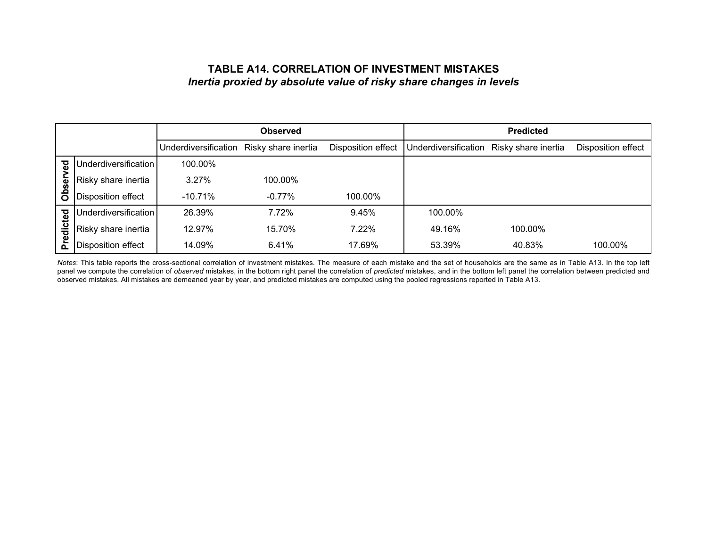## **TABLE A14. CORRELATION OF INVESTMENT MISTAKES***Inertia proxied by absolute value of risky share changes in levels*

|            |                      |                      | <b>Observed</b>     |                    |                      | <b>Predicted</b>    |                    |
|------------|----------------------|----------------------|---------------------|--------------------|----------------------|---------------------|--------------------|
|            |                      | Underdiversification | Risky share inertia | Disposition effect | Underdiversification | Risky share inertia | Disposition effect |
| ಕ          | Underdiversification | 100.00%              |                     |                    |                      |                     |                    |
|            | Risky share inertia  | 3.27%                | 100.00%             |                    |                      |                     |                    |
| Obser      | Disposition effect   | $-10.71%$            | $-0.77\%$           | 100.00%            |                      |                     |                    |
| <b>Del</b> | Underdiversification | 26.39%               | 7.72%               | 9.45%              | 100.00%              |                     |                    |
| edict      | Risky share inertia  | 12.97%               | 15.70%              | 7.22%              | 49.16%               | 100.00%             |                    |
| ൨          | Disposition effect   | 14.09%               | 6.41%               | 17.69%             | 53.39%               | 40.83%              | 100.00%            |

*Notes*: This table reports the cross-sectional correlation of investment mistakes. The measure of each mistake and the set of households are the same as in Table A13. In the top left panel we compute the correlation of *observed* mistakes, in the bottom right panel the correlation of *predicted* mistakes, and in the bottom left panel the correlation between predicted and observed mistakes. All mistakes are demeaned year by year, and predicted mistakes are computed using the pooled regressions reported in Table A13.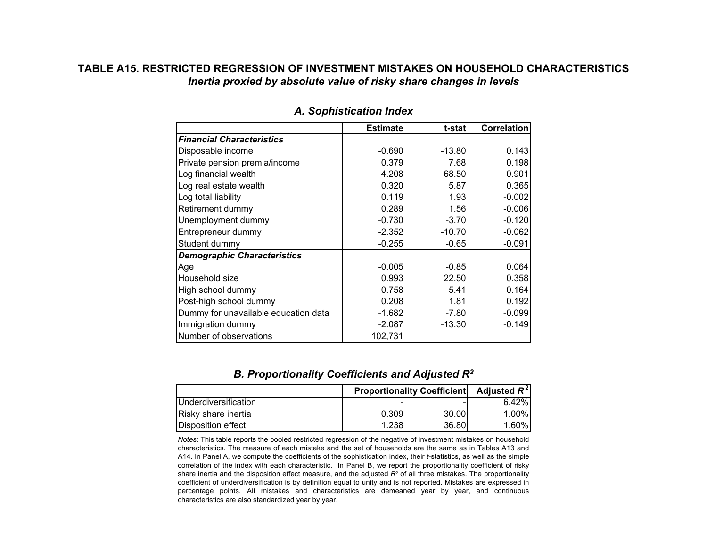## **TABLE A15. RESTRICTED REGRESSION OF INVESTMENT MISTAKES ON HOUSEHOLD CHARACTERISTICS***Inertia proxied by absolute value of risky share changes in levels*

|                                      | <b>Estimate</b> | t-stat   | <b>Correlation</b> |
|--------------------------------------|-----------------|----------|--------------------|
| <b>Financial Characteristics</b>     |                 |          |                    |
| Disposable income                    | $-0.690$        | $-13.80$ | 0.143              |
| Private pension premia/income        | 0.379           | 7.68     | 0.198              |
| Log financial wealth                 | 4.208           | 68.50    | 0.901              |
| Log real estate wealth               | 0.320           | 5.87     | 0.365              |
| Log total liability                  | 0.119           | 1.93     | $-0.002$           |
| Retirement dummy                     | 0.289           | 1.56     | $-0.006$           |
| Unemployment dummy                   | $-0.730$        | $-3.70$  | $-0.120$           |
| Entrepreneur dummy                   | $-2.352$        | $-10.70$ | $-0.062$           |
| Student dummy                        | $-0.255$        | $-0.65$  | $-0.091$           |
| <b>Demographic Characteristics</b>   |                 |          |                    |
| Age                                  | $-0.005$        | $-0.85$  | 0.064              |
| Household size                       | 0.993           | 22.50    | 0.358              |
| High school dummy                    | 0.758           | 5.41     | 0.164              |
| Post-high school dummy               | 0.208           | 1.81     | 0.192              |
| Dummy for unavailable education data | $-1.682$        | $-7.80$  | $-0.099$           |
| Immigration dummy                    | $-2.087$        | $-13.30$ | $-0.149$           |
| Number of observations               | 102,731         |          |                    |

#### *A. Sophistication Index*

## *B. Proportionality Coefficients and Adjusted R2*

|                               | <b>Proportionality Coefficient</b> | Adjusted $R^2$ |          |
|-------------------------------|------------------------------------|----------------|----------|
| <b>I</b> Underdiversification |                                    |                | $6.42\%$ |
| Risky share inertia           | 0.309                              | 30.00          | $1.00\%$ |
| <b>IDisposition effect</b>    | 1.238                              | 36.80          | $1.60\%$ |

*Notes*: This table reports the pooled restricted regression of the negative of investment mistakes on household characteristics. The measure of each mistake and the set of households are the same as in Tables A13 and A14. In Panel A, we compute the coefficients of the sophistication index, their *t*-statistics, as well as the simple correlation of the index with each characteristic. In Panel B, we report the proportionality coefficient of risky share inertia and the disposition effect measure, and the adjusted *R*<sup>2</sup> of all three mistakes. The proportionality coefficient of underdiversification is by definition equal to unity and is not reported. Mistakes are expressed in percentage points. All mistakes and characteristics are demeaned year by year, and continuous characteristics are also standardized year by year.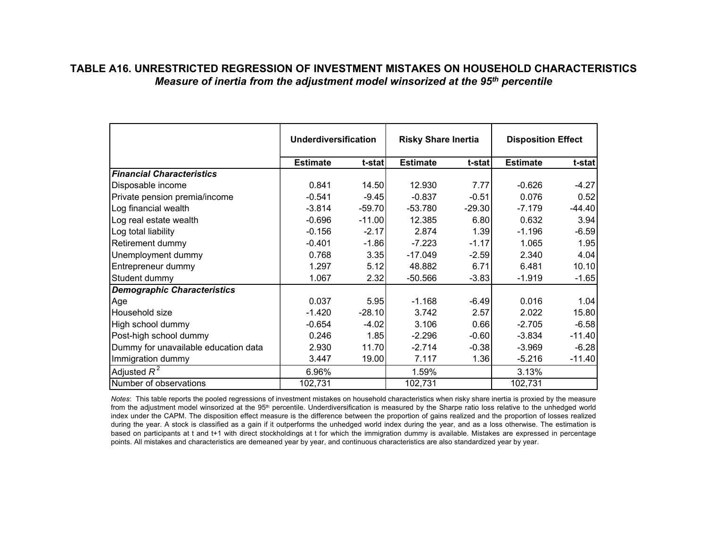## **TABLE A16. UNRESTRICTED REGRESSION OF INVESTMENT MISTAKES ON HOUSEHOLD CHARACTERISTICS***Measure of inertia from the adjustment model winsorized at the 95th percentile*

|                                      | <b>Underdiversification</b> |          | <b>Risky Share Inertia</b> |          | <b>Disposition Effect</b> |          |
|--------------------------------------|-----------------------------|----------|----------------------------|----------|---------------------------|----------|
|                                      | <b>Estimate</b>             | t-stat   | <b>Estimate</b>            | t-stat   | <b>Estimate</b>           | t-stat   |
| <b>Financial Characteristics</b>     |                             |          |                            |          |                           |          |
| Disposable income                    | 0.841                       | 14.50    | 12.930                     | 7.77     | $-0.626$                  | $-4.27$  |
| Private pension premia/income        | $-0.541$                    | $-9.45$  | $-0.837$                   | $-0.51$  | 0.076                     | 0.52     |
| Log financial wealth                 | $-3.814$                    | $-59.70$ | $-53.780$                  | $-29.30$ | $-7.179$                  | $-44.40$ |
| Log real estate wealth               | $-0.696$                    | $-11.00$ | 12.385                     | 6.80     | 0.632                     | 3.94     |
| Log total liability                  | $-0.156$                    | $-2.17$  | 2.874                      | 1.39     | $-1.196$                  | $-6.59$  |
| Retirement dummy                     | $-0.401$                    | $-1.86$  | $-7.223$                   | $-1.17$  | 1.065                     | 1.95     |
| Unemployment dummy                   | 0.768                       | 3.35     | $-17.049$                  | $-2.59$  | 2.340                     | 4.04     |
| Entrepreneur dummy                   | 1.297                       | 5.12     | 48.882                     | 6.71     | 6.481                     | 10.10    |
| Student dummy                        | 1.067                       | 2.32     | $-50.566$                  | $-3.83$  | $-1.919$                  | $-1.65$  |
| <b>Demographic Characteristics</b>   |                             |          |                            |          |                           |          |
| Age                                  | 0.037                       | 5.95     | $-1.168$                   | $-6.49$  | 0.016                     | 1.04     |
| Household size                       | $-1.420$                    | $-28.10$ | 3.742                      | 2.57     | 2.022                     | 15.80    |
| High school dummy                    | $-0.654$                    | $-4.02$  | 3.106                      | 0.66     | $-2.705$                  | $-6.58$  |
| Post-high school dummy               | 0.246                       | 1.85     | $-2.296$                   | $-0.60$  | $-3.834$                  | $-11.40$ |
| Dummy for unavailable education data | 2.930                       | 11.70    | $-2.714$                   | $-0.38$  | $-3.969$                  | $-6.28$  |
| Immigration dummy                    | 3.447                       | 19.00    | 7.117                      | 1.36     | $-5.216$                  | $-11.40$ |
| Adjusted $R^2$                       | 6.96%                       |          | 1.59%                      |          | 3.13%                     |          |
| Number of observations               | 102,731                     |          | 102,731                    |          | 102,731                   |          |

*Notes*: This table reports the pooled regressions of investment mistakes on household characteristics when risky share inertia is proxied by the measure from the adjustment model winsorized at the 95<sup>th</sup> percentile. Underdiversification is measured by the Sharpe ratio loss relative to the unhedged world index under the CAPM. The disposition effect measure is the difference between the proportion of gains realized and the proportion of losses realized during the year. A stock is classified as a gain if it outperforms the unhedged world index during the year, and as a loss otherwise. The estimation is based on participants at t and t+1 with direct stockholdings at t for which the immigration dummy is available. Mistakes are expressed in percentage points. All mistakes and characteristics are demeaned year by year, and continuous characteristics are also standardized year by year.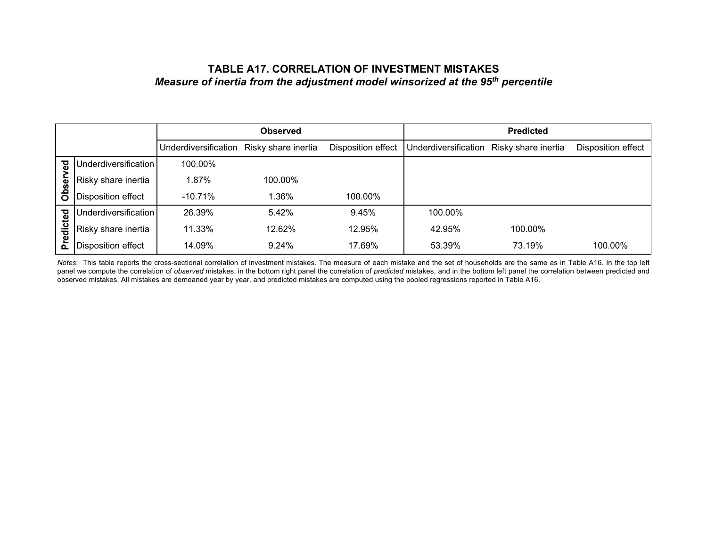## **TABLE A17. CORRELATION OF INVESTMENT MISTAKES***Measure of inertia from the adjustment model winsorized at the 95th percentile*

|         |                           |                      | <b>Observed</b>     |                    |                      | <b>Predicted</b>    |                    |
|---------|---------------------------|----------------------|---------------------|--------------------|----------------------|---------------------|--------------------|
|         |                           | Underdiversification | Risky share inertia | Disposition effect | Underdiversification | Risky share inertia | Disposition effect |
| ढ       | Underdiversification      | 100.00%              |                     |                    |                      |                     |                    |
| ଌ       | Risky share inertia       | 1.87%                | 100.00%             |                    |                      |                     |                    |
| Ö<br>ō  | Disposition effect        | $-10.71%$            | 1.36%               | 100.00%            |                      |                     |                    |
|         | Underdiversification      | 26.39%               | 5.42%               | 9.45%              | 100.00%              |                     |                    |
| edicted | Risky share inertia       | 11.33%               | 12.62%              | 12.95%             | 42.95%               | 100.00%             |                    |
| ō.      | <b>Disposition effect</b> | 14.09%               | 9.24%               | 17.69%             | 53.39%               | 73.19%              | 100.00%            |

*Notes*: This table reports the cross-sectional correlation of investment mistakes. The measure of each mistake and the set of households are the same as in Table A16. In the top left panel we compute the correlation of *observed* mistakes, in the bottom right panel the correlation of *predicted* mistakes, and in the bottom left panel the correlation between predicted and observed mistakes. All mistakes are demeaned year by year, and predicted mistakes are computed using the pooled regressions reported in Table A16.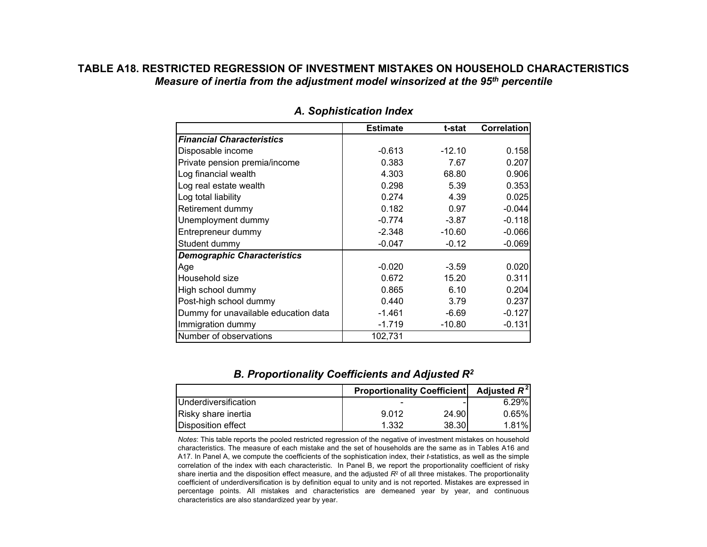## **TABLE A18. RESTRICTED REGRESSION OF INVESTMENT MISTAKES ON HOUSEHOLD CHARACTERISTICS***Measure of inertia from the adjustment model winsorized at the 95th percentile*

|                                      | <b>Estimate</b> | t-stat   | <b>Correlation</b> |
|--------------------------------------|-----------------|----------|--------------------|
| <b>Financial Characteristics</b>     |                 |          |                    |
| Disposable income                    | $-0.613$        | $-12.10$ | 0.158              |
| Private pension premia/income        | 0.383           | 7.67     | 0.207              |
| Log financial wealth                 | 4.303           | 68.80    | 0.906              |
| Log real estate wealth               | 0.298           | 5.39     | 0.353              |
| Log total liability                  | 0.274           | 4.39     | 0.025              |
| Retirement dummy                     | 0.182           | 0.97     | $-0.044$           |
| Unemployment dummy                   | $-0.774$        | $-3.87$  | $-0.118$           |
| Entrepreneur dummy                   | $-2.348$        | $-10.60$ | $-0.066$           |
| Student dummy                        | $-0.047$        | $-0.12$  | $-0.069$           |
| <b>Demographic Characteristics</b>   |                 |          |                    |
| Age                                  | $-0.020$        | $-3.59$  | 0.020              |
| Household size                       | 0.672           | 15.20    | 0.311              |
| High school dummy                    | 0.865           | 6.10     | 0.204              |
| Post-high school dummy               | 0.440           | 3.79     | 0.237              |
| Dummy for unavailable education data | $-1.461$        | $-6.69$  | $-0.127$           |
| Immigration dummy                    | $-1.719$        | $-10.80$ | $-0.131$           |
| Number of observations               | 102,731         |          |                    |

#### *A. Sophistication Index*

#### *B. Proportionality Coefficients and Adjusted R2*

|                               | <b>Proportionality Coefficient</b> | Adjusted $R^2$ |          |
|-------------------------------|------------------------------------|----------------|----------|
| <b>I</b> Underdiversification |                                    |                | 6.29%    |
| Risky share inertia           | 9.012                              | 24.901         | $0.65\%$ |
| <b>IDisposition effect</b>    | 1.332                              | 38.30          | $1.81\%$ |

*Notes*: This table reports the pooled restricted regression of the negative of investment mistakes on household characteristics. The measure of each mistake and the set of households are the same as in Tables A16 and A17. In Panel A, we compute the coefficients of the sophistication index, their *t*-statistics, as well as the simple correlation of the index with each characteristic. In Panel B, we report the proportionality coefficient of risky share inertia and the disposition effect measure, and the adjusted *R*<sup>2</sup> of all three mistakes. The proportionality coefficient of underdiversification is by definition equal to unity and is not reported. Mistakes are expressed in percentage points. All mistakes and characteristics are demeaned year by year, and continuous characteristics are also standardized year by year.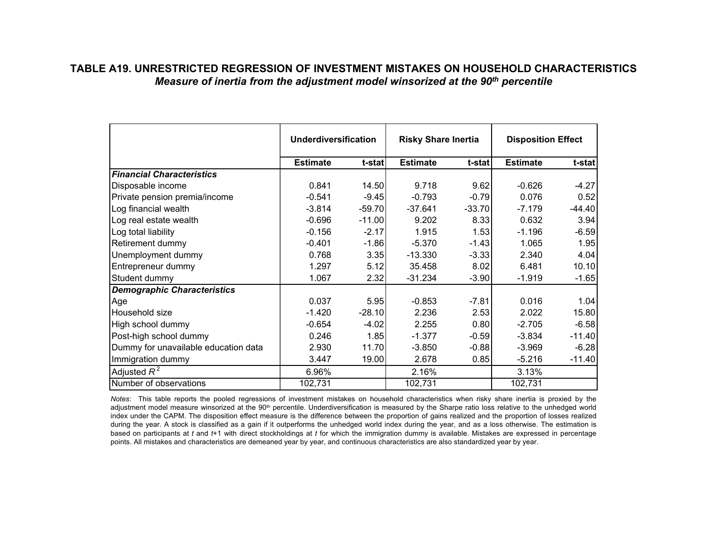## **TABLE A19. UNRESTRICTED REGRESSION OF INVESTMENT MISTAKES ON HOUSEHOLD CHARACTERISTICS***Measure of inertia from the adjustment model winsorized at the 90th percentile*

|                                      | <b>Underdiversification</b> |          | <b>Risky Share Inertia</b> |          | <b>Disposition Effect</b> |          |
|--------------------------------------|-----------------------------|----------|----------------------------|----------|---------------------------|----------|
|                                      | <b>Estimate</b>             | t-stat   | <b>Estimate</b>            | t-stat   | <b>Estimate</b>           | t-stat   |
| <b>Financial Characteristics</b>     |                             |          |                            |          |                           |          |
| Disposable income                    | 0.841                       | 14.50    | 9.718                      | 9.62     | $-0.626$                  | $-4.27$  |
| Private pension premia/income        | $-0.541$                    | $-9.45$  | $-0.793$                   | $-0.79$  | 0.076                     | 0.52     |
| Log financial wealth                 | $-3.814$                    | $-59.70$ | $-37.641$                  | $-33.70$ | $-7.179$                  | $-44.40$ |
| Log real estate wealth               | $-0.696$                    | $-11.00$ | 9.202                      | 8.33     | 0.632                     | 3.94     |
| Log total liability                  | $-0.156$                    | $-2.17$  | 1.915                      | 1.53     | $-1.196$                  | $-6.59$  |
| Retirement dummy                     | $-0.401$                    | $-1.86$  | $-5.370$                   | $-1.43$  | 1.065                     | 1.95     |
| Unemployment dummy                   | 0.768                       | 3.35     | $-13.330$                  | $-3.33$  | 2.340                     | 4.04     |
| Entrepreneur dummy                   | 1.297                       | 5.12     | 35.458                     | 8.02     | 6.481                     | 10.10    |
| Student dummy                        | 1.067                       | 2.32     | $-31.234$                  | $-3.90$  | $-1.919$                  | $-1.65$  |
| <b>Demographic Characteristics</b>   |                             |          |                            |          |                           |          |
| Age                                  | 0.037                       | 5.95     | $-0.853$                   | $-7.81$  | 0.016                     | 1.04     |
| Household size                       | $-1.420$                    | $-28.10$ | 2.236                      | 2.53     | 2.022                     | 15.80    |
| High school dummy                    | $-0.654$                    | $-4.02$  | 2.255                      | 0.80     | $-2.705$                  | $-6.58$  |
| Post-high school dummy               | 0.246                       | 1.85     | $-1.377$                   | $-0.59$  | $-3.834$                  | $-11.40$ |
| Dummy for unavailable education data | 2.930                       | 11.70    | $-3.850$                   | $-0.88$  | $-3.969$                  | $-6.28$  |
| Immigration dummy                    | 3.447                       | 19.00    | 2.678                      | 0.85     | $-5.216$                  | $-11.40$ |
| Adjusted $R^2$                       | 6.96%                       |          | 2.16%                      |          | 3.13%                     |          |
| Number of observations               | 102,731                     |          | 102,731                    |          | 102,731                   |          |

*Notes*: This table reports the pooled regressions of investment mistakes on household characteristics when risky share inertia is proxied by the adjustment model measure winsorized at the 90<sup>th</sup> percentile. Underdiversification is measured by the Sharpe ratio loss relative to the unhedged world index under the CAPM. The disposition effect measure is the difference between the proportion of gains realized and the proportion of losses realized during the year. A stock is classified as a gain if it outperforms the unhedged world index during the year, and as a loss otherwise. The estimation is based on participants at *t* and *t*+1 with direct stockholdings at *t* for which the immigration dummy is available. Mistakes are expressed in percentage points. All mistakes and characteristics are demeaned year by year, and continuous characteristics are also standardized year by year.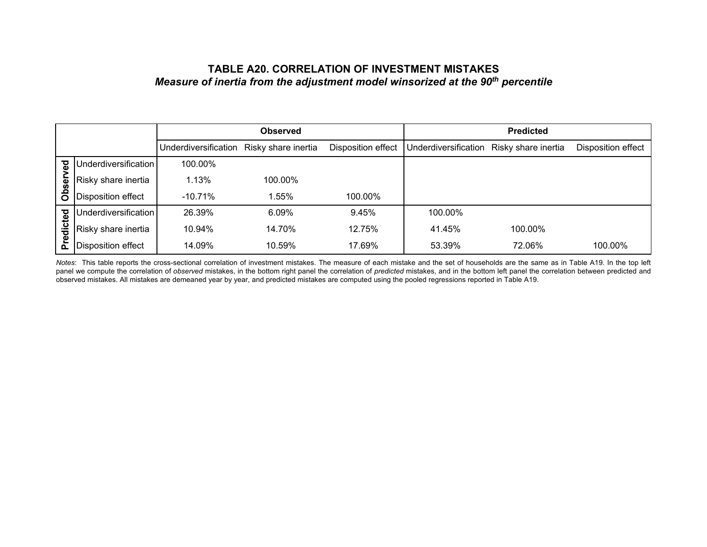## **TABLE A20. CORRELATION OF INVESTMENT MISTAKES***Measure of inertia from the adjustment model winsorized at the 90th percentile*

|            |                      |                      | <b>Observed</b>     |                    |                      | <b>Predicted</b>    |                    |
|------------|----------------------|----------------------|---------------------|--------------------|----------------------|---------------------|--------------------|
|            |                      | Underdiversification | Risky share inertia | Disposition effect | Underdiversification | Risky share inertia | Disposition effect |
| ਲ਼         | Underdiversification | 100.00%              |                     |                    |                      |                     |                    |
| bsei       | Risky share inertia  | 1.13%                | 100.00%             |                    |                      |                     |                    |
| ō          | Disposition effect   | $-10.71%$            | 1.55%               | 100.00%            |                      |                     |                    |
| <b>Del</b> | Underdiversification | 26.39%               | 6.09%               | 9.45%              | 100.00%              |                     |                    |
| edict      | Risky share inertia  | 10.94%               | 14.70%              | 12.75%             | 41.45%               | 100.00%             |                    |
| ᇍ          | Disposition effect   | 14.09%               | 10.59%              | 17.69%             | 53.39%               | 72.06%              | 100.00%            |

*Notes*: This table reports the cross-sectional correlation of investment mistakes. The measure of each mistake and the set of households are the same as in Table A19. In the top left panel we compute the correlation of *observed* mistakes, in the bottom right panel the correlation of *predicted* mistakes, and in the bottom left panel the correlation between predicted and observed mistakes. All mistakes are demeaned year by year, and predicted mistakes are computed using the pooled regressions reported in Table A19.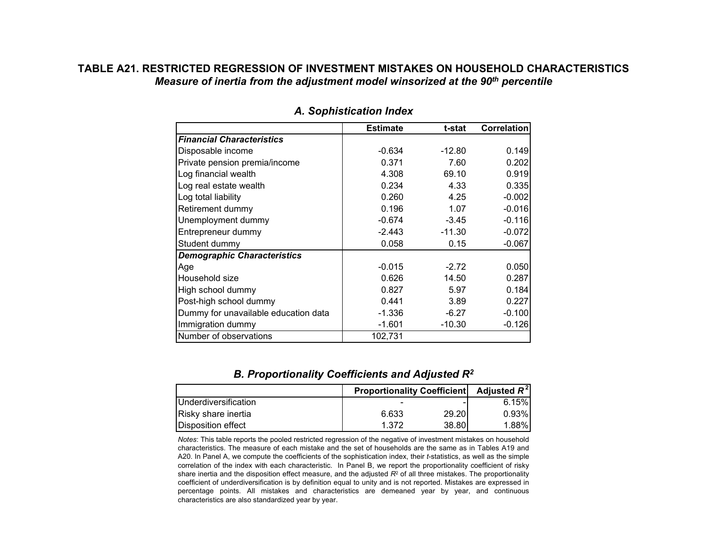## **TABLE A21. RESTRICTED REGRESSION OF INVESTMENT MISTAKES ON HOUSEHOLD CHARACTERISTICS***Measure of inertia from the adjustment model winsorized at the 90th percentile*

|                                      | <b>Estimate</b> | t-stat   | <b>Correlation</b> |
|--------------------------------------|-----------------|----------|--------------------|
| <b>Financial Characteristics</b>     |                 |          |                    |
| Disposable income                    | $-0.634$        | $-12.80$ | 0.149              |
| Private pension premia/income        | 0.371           | 7.60     | 0.202              |
| Log financial wealth                 | 4.308           | 69.10    | 0.919              |
| Log real estate wealth               | 0.234           | 4.33     | 0.335              |
| Log total liability                  | 0.260           | 4.25     | $-0.002$           |
| Retirement dummy                     | 0.196           | 1.07     | $-0.016$           |
| Unemployment dummy                   | $-0.674$        | $-3.45$  | $-0.116$           |
| Entrepreneur dummy                   | $-2.443$        | $-11.30$ | $-0.072$           |
| Student dummy                        | 0.058           | 0.15     | $-0.067$           |
| <b>Demographic Characteristics</b>   |                 |          |                    |
| Age                                  | $-0.015$        | $-2.72$  | 0.050              |
| Household size                       | 0.626           | 14.50    | 0.287              |
| High school dummy                    | 0.827           | 5.97     | 0.184              |
| Post-high school dummy               | 0.441           | 3.89     | 0.227              |
| Dummy for unavailable education data | $-1.336$        | $-6.27$  | $-0.100$           |
| Immigration dummy                    | $-1.601$        | $-10.30$ | $-0.126$           |
| Number of observations               | 102,731         |          |                    |

#### *A. Sophistication Index*

#### *B. Proportionality Coefficients and Adjusted R2*

|                               | <b>Proportionality Coefficient</b> | Adjusted R <sup>-1</sup> |          |
|-------------------------------|------------------------------------|--------------------------|----------|
| <b>I</b> Underdiversification |                                    |                          | 6.15%    |
| Risky share inertia           | 6.633                              | 29.20                    | $0.93\%$ |
| <b>IDisposition effect</b>    | 1.372                              | 38.80                    | 1.88%    |

*Notes*: This table reports the pooled restricted regression of the negative of investment mistakes on household characteristics. The measure of each mistake and the set of households are the same as in Tables A19 and A20. In Panel A, we compute the coefficients of the sophistication index, their *t*-statistics, as well as the simple correlation of the index with each characteristic. In Panel B, we report the proportionality coefficient of risky share inertia and the disposition effect measure, and the adjusted *R*<sup>2</sup> of all three mistakes. The proportionality coefficient of underdiversification is by definition equal to unity and is not reported. Mistakes are expressed in percentage points. All mistakes and characteristics are demeaned year by year, and continuous characteristics are also standardized year by year.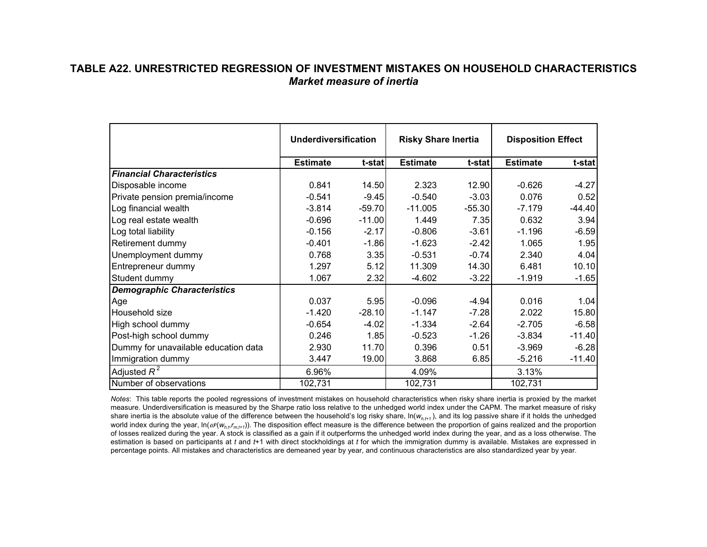## **TABLE A22. UNRESTRICTED REGRESSION OF INVESTMENT MISTAKES ON HOUSEHOLD CHARACTERISTICS***Market measure of inertia*

|                                      | <b>Underdiversification</b> |          | <b>Risky Share Inertia</b> |          | <b>Disposition Effect</b> |          |
|--------------------------------------|-----------------------------|----------|----------------------------|----------|---------------------------|----------|
|                                      | <b>Estimate</b>             | t-stat   | <b>Estimate</b>            | t-stat   | <b>Estimate</b>           | t-stat   |
| <b>Financial Characteristics</b>     |                             |          |                            |          |                           |          |
| Disposable income                    | 0.841                       | 14.50    | 2.323                      | 12.90    | $-0.626$                  | $-4.27$  |
| Private pension premia/income        | $-0.541$                    | $-9.45$  | $-0.540$                   | $-3.03$  | 0.076                     | 0.52     |
| Log financial wealth                 | $-3.814$                    | $-59.70$ | $-11.005$                  | $-55.30$ | $-7.179$                  | $-44.40$ |
| Log real estate wealth               | $-0.696$                    | $-11.00$ | 1.449                      | 7.35     | 0.632                     | 3.94     |
| Log total liability                  | $-0.156$                    | $-2.17$  | $-0.806$                   | $-3.61$  | $-1.196$                  | $-6.59$  |
| Retirement dummy                     | $-0.401$                    | $-1.86$  | $-1.623$                   | $-2.42$  | 1.065                     | 1.95     |
| Unemployment dummy                   | 0.768                       | 3.35     | $-0.531$                   | $-0.74$  | 2.340                     | 4.04     |
| Entrepreneur dummy                   | 1.297                       | 5.12     | 11.309                     | 14.30    | 6.481                     | 10.10    |
| Student dummy                        | 1.067                       | 2.32     | $-4.602$                   | $-3.22$  | $-1.919$                  | $-1.65$  |
| <b>Demographic Characteristics</b>   |                             |          |                            |          |                           |          |
| Age                                  | 0.037                       | 5.95     | $-0.096$                   | $-4.94$  | 0.016                     | 1.04     |
| Household size                       | $-1.420$                    | $-28.10$ | $-1.147$                   | $-7.28$  | 2.022                     | 15.80    |
| High school dummy                    | $-0.654$                    | $-4.02$  | $-1.334$                   | $-2.64$  | $-2.705$                  | $-6.58$  |
| Post-high school dummy               | 0.246                       | 1.85     | $-0.523$                   | $-1.26$  | $-3.834$                  | $-11.40$ |
| Dummy for unavailable education data | 2.930                       | 11.70    | 0.396                      | 0.51     | $-3.969$                  | $-6.28$  |
| Immigration dummy                    | 3.447                       | 19.00    | 3.868                      | 6.85     | $-5.216$                  | $-11.40$ |
| Adjusted $R^2$                       | 6.96%                       |          | 4.09%                      |          | 3.13%                     |          |
| Number of observations               | 102,731                     |          | 102,731                    |          | 102,731                   |          |

*Notes*: This table reports the pooled regressions of investment mistakes on household characteristics when risky share inertia is proxied by the market measure. Underdiversification is measured by the Sharpe ratio loss relative to the unhedged world index under the CAPM. The market measure of risky share inertia is the absolute value of the difference between the household's log risky share, ln( *wh,t+1* ), and its log passive share if it holds the unhedged world index during the year, In(α<sup>ρ</sup>(w<sub>h,t</sub>,r<sub>m,t+1</sub>)). The disposition effect measure is the difference between the proportion of gains realized and the proportion of losses realized during the year. A stock is classified as a gain if it outperforms the unhedged world index during the year, and as a loss otherwise. The estimation is based on participants at *t* and *t*+1 with direct stockholdings at *t* for which the immigration dummy is available. Mistakes are expressed in percentage points. All mistakes and characteristics are demeaned year by year, and continuous characteristics are also standardized year by year.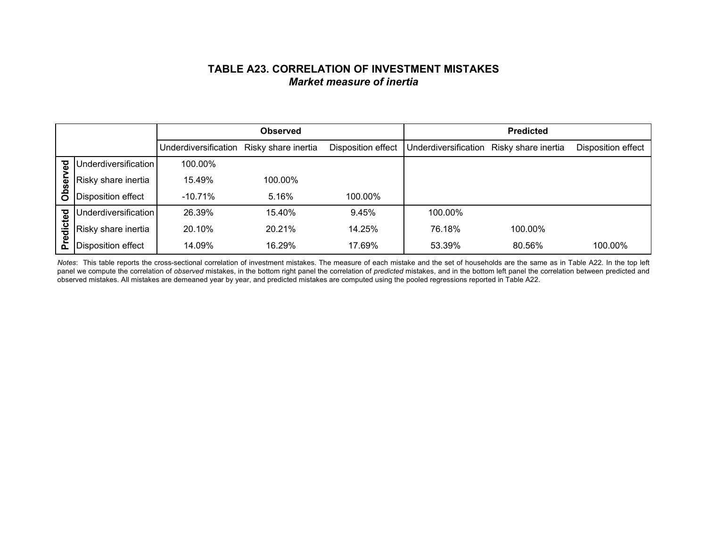## **TABLE A23. CORRELATION OF INVESTMENT MISTAKES***Market measure of inertia*

|         |                      |                      | <b>Observed</b>     |                    |                      | <b>Predicted</b>    |                    |
|---------|----------------------|----------------------|---------------------|--------------------|----------------------|---------------------|--------------------|
|         |                      | Underdiversification | Risky share inertia | Disposition effect | Underdiversification | Risky share inertia | Disposition effect |
| ढ       | Underdiversification | 100.00%              |                     |                    |                      |                     |                    |
| ଌ       | Risky share inertia  | 15.49%               | 100.00%             |                    |                      |                     |                    |
| Ö<br>ō  | Disposition effect   | $-10.71%$            | 5.16%               | 100.00%            |                      |                     |                    |
|         | Underdiversification | 26.39%               | 15.40%              | 9.45%              | 100.00%              |                     |                    |
| edicted | Risky share inertia  | 20.10%               | 20.21%              | 14.25%             | 76.18%               | 100.00%             |                    |
| ō.      | Disposition effect   | 14.09%               | 16.29%              | 17.69%             | 53.39%               | 80.56%              | 100.00%            |

*Notes*: This table reports the cross-sectional correlation of investment mistakes. The measure of each mistake and the set of households are the same as in Table A22. In the top left panel we compute the correlation of *observed* mistakes, in the bottom right panel the correlation of *predicted* mistakes, and in the bottom left panel the correlation between predicted and observed mistakes. All mistakes are demeaned year by year, and predicted mistakes are computed using the pooled regressions reported in Table A22.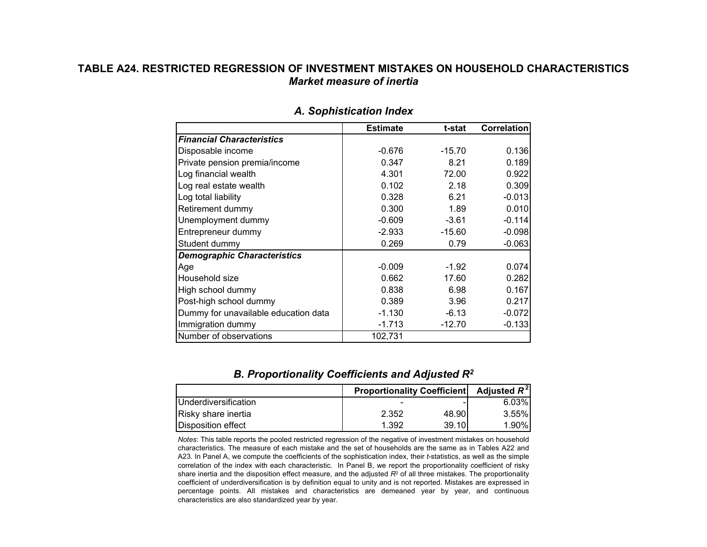## **TABLE A24. RESTRICTED REGRESSION OF INVESTMENT MISTAKES ON HOUSEHOLD CHARACTERISTICS***Market measure of inertia*

|                                      | <b>Estimate</b> | t-stat   | <b>Correlation</b> |
|--------------------------------------|-----------------|----------|--------------------|
| <b>Financial Characteristics</b>     |                 |          |                    |
| Disposable income                    | $-0.676$        | $-15.70$ | 0.136              |
| Private pension premia/income        | 0.347           | 8.21     | 0.189              |
| Log financial wealth                 | 4.301           | 72.00    | 0.922              |
| Log real estate wealth               | 0.102           | 2.18     | 0.309              |
| Log total liability                  | 0.328           | 6.21     | $-0.013$           |
| Retirement dummy                     | 0.300           | 1.89     | 0.010              |
| Unemployment dummy                   | $-0.609$        | $-3.61$  | $-0.114$           |
| Entrepreneur dummy                   | $-2.933$        | $-15.60$ | $-0.098$           |
| Student dummy                        | 0.269           | 0.79     | $-0.063$           |
| <b>Demographic Characteristics</b>   |                 |          |                    |
| Age                                  | $-0.009$        | $-1.92$  | 0.074              |
| Household size                       | 0.662           | 17.60    | 0.282              |
| High school dummy                    | 0.838           | 6.98     | 0.167              |
| Post-high school dummy               | 0.389           | 3.96     | 0.217              |
| Dummy for unavailable education data | $-1.130$        | $-6.13$  | $-0.072$           |
| Immigration dummy                    | $-1.713$        | $-12.70$ | $-0.133$           |
| Number of observations               | 102,731         |          |                    |

#### *A. Sophistication Index*

## *B. Proportionality Coefficients and Adjusted R2*

|                               | <b>Proportionality Coefficient</b> | Adjusted $R^2$ |          |
|-------------------------------|------------------------------------|----------------|----------|
| <b>I</b> Underdiversification |                                    |                | $6.03\%$ |
| Risky share inertia           | 2.352                              | 48.90          | $3.55\%$ |
| Disposition effect            | 1.392                              | 39.10          | $1.90\%$ |

*Notes*: This table reports the pooled restricted regression of the negative of investment mistakes on household characteristics. The measure of each mistake and the set of households are the same as in Tables A22 and A23. In Panel A, we compute the coefficients of the sophistication index, their *t*-statistics, as well as the simple correlation of the index with each characteristic. In Panel B, we report the proportionality coefficient of risky share inertia and the disposition effect measure, and the adjusted *R*<sup>2</sup> of all three mistakes. The proportionality coefficient of underdiversification is by definition equal to unity and is not reported. Mistakes are expressed in percentage points. All mistakes and characteristics are demeaned year by year, and continuous characteristics are also standardized year by year.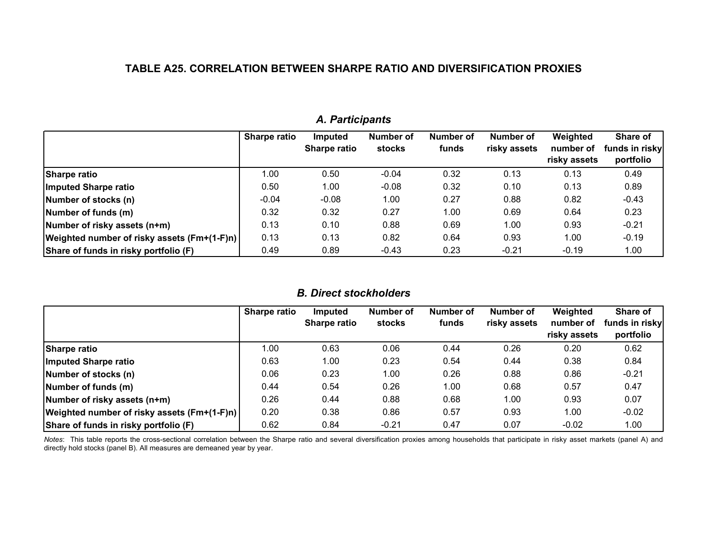## **TABLE A25. CORRELATION BETWEEN SHARPE RATIO AND DIVERSIFICATION PROXIES**

|                                             | <b>Sharpe ratio</b> | <b>Imputed</b><br>Sharpe ratio | Number of<br><b>stocks</b> | Number of<br>funds | Number of<br>risky assets | Weighted<br>number of<br>risky assets | Share of<br>funds in risky<br>portfolio |
|---------------------------------------------|---------------------|--------------------------------|----------------------------|--------------------|---------------------------|---------------------------------------|-----------------------------------------|
| Sharpe ratio                                | 1.00                | 0.50                           | $-0.04$                    | 0.32               | 0.13                      | 0.13                                  | 0.49                                    |
| Imputed Sharpe ratio                        | 0.50                | 1.00                           | $-0.08$                    | 0.32               | 0.10                      | 0.13                                  | 0.89                                    |
| Number of stocks (n)                        | $-0.04$             | $-0.08$                        | 1.00                       | 0.27               | 0.88                      | 0.82                                  | $-0.43$                                 |
| Number of funds (m)                         | 0.32                | 0.32                           | 0.27                       | 1.00               | 0.69                      | 0.64                                  | 0.23                                    |
| Number of risky assets (n+m)                | 0.13                | 0.10                           | 0.88                       | 0.69               | 1.00                      | 0.93                                  | $-0.21$                                 |
| Weighted number of risky assets (Fm+(1-F)n) | 0.13                | 0.13                           | 0.82                       | 0.64               | 0.93                      | 1.00                                  | $-0.19$                                 |
| Share of funds in risky portfolio (F)       | 0.49                | 0.89                           | $-0.43$                    | 0.23               | $-0.21$                   | $-0.19$                               | 1.00                                    |

## *A. Participants*

#### *B. Direct stockholders*

|                                             | Sharpe ratio | <b>Imputed</b>      | Number of | Number of | <b>Number of</b> | Weighted     | Share of       |
|---------------------------------------------|--------------|---------------------|-----------|-----------|------------------|--------------|----------------|
|                                             |              | <b>Sharpe ratio</b> | stocks    | funds     | risky assets     | number of    | funds in risky |
|                                             |              |                     |           |           |                  | risky assets | portfolio      |
| Sharpe ratio                                | 00.1         | 0.63                | 0.06      | 0.44      | 0.26             | 0.20         | 0.62           |
| Imputed Sharpe ratio                        | 0.63         | 1.00                | 0.23      | 0.54      | 0.44             | 0.38         | 0.84           |
| Number of stocks (n)                        | 0.06         | 0.23                | 1.00      | 0.26      | 0.88             | 0.86         | $-0.21$        |
| Number of funds (m)                         | 0.44         | 0.54                | 0.26      | 1.00      | 0.68             | 0.57         | 0.47           |
| Number of risky assets (n+m)                | 0.26         | 0.44                | 0.88      | 0.68      | 1.00             | 0.93         | 0.07           |
| Weighted number of risky assets (Fm+(1-F)n) | 0.20         | 0.38                | 0.86      | 0.57      | 0.93             | 1.00         | $-0.02$        |
| Share of funds in risky portfolio (F)       | 0.62         | 0.84                | $-0.21$   | 0.47      | 0.07             | $-0.02$      | 1.00           |

*Notes*: This table reports the cross-sectional correlation between the Sharpe ratio and several diversification proxies among households that participate in risky asset markets (panel A) and directly hold stocks (panel B). All measures are demeaned year by year.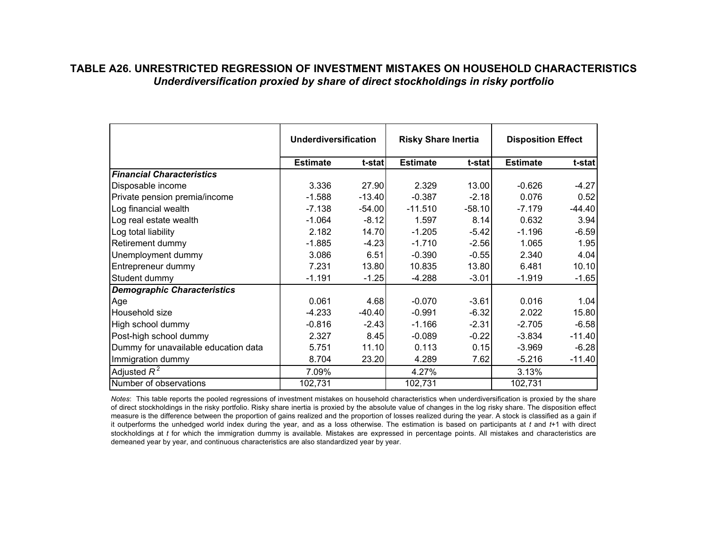## **TABLE A26. UNRESTRICTED REGRESSION OF INVESTMENT MISTAKES ON HOUSEHOLD CHARACTERISTICS***Underdiversification proxied by share of direct stockholdings in risky portfolio*

|                                      | <b>Underdiversification</b> |          | <b>Risky Share Inertia</b> |          | <b>Disposition Effect</b> |          |
|--------------------------------------|-----------------------------|----------|----------------------------|----------|---------------------------|----------|
|                                      | <b>Estimate</b>             | t-stat   | <b>Estimate</b>            | t-stat   | <b>Estimate</b>           | t-stat   |
| <b>Financial Characteristics</b>     |                             |          |                            |          |                           |          |
| Disposable income                    | 3.336                       | 27.90    | 2.329                      | 13.00    | $-0.626$                  | $-4.27$  |
| Private pension premia/income        | $-1.588$                    | $-13.40$ | $-0.387$                   | $-2.18$  | 0.076                     | 0.52     |
| Log financial wealth                 | $-7.138$                    | $-54.00$ | $-11.510$                  | $-58.10$ | $-7.179$                  | $-44.40$ |
| Log real estate wealth               | $-1.064$                    | $-8.12$  | 1.597                      | 8.14     | 0.632                     | 3.94     |
| Log total liability                  | 2.182                       | 14.70    | $-1.205$                   | $-5.42$  | $-1.196$                  | $-6.59$  |
| Retirement dummy                     | $-1.885$                    | $-4.23$  | $-1.710$                   | $-2.56$  | 1.065                     | 1.95     |
| Unemployment dummy                   | 3.086                       | 6.51     | $-0.390$                   | $-0.55$  | 2.340                     | 4.04     |
| Entrepreneur dummy                   | 7.231                       | 13.80    | 10.835                     | 13.80    | 6.481                     | 10.10    |
| Student dummy                        | $-1.191$                    | $-1.25$  | $-4.288$                   | $-3.01$  | $-1.919$                  | $-1.65$  |
| <b>Demographic Characteristics</b>   |                             |          |                            |          |                           |          |
| Age                                  | 0.061                       | 4.68     | $-0.070$                   | $-3.61$  | 0.016                     | 1.04     |
| Household size                       | $-4.233$                    | $-40.40$ | $-0.991$                   | $-6.32$  | 2.022                     | 15.80    |
| High school dummy                    | $-0.816$                    | $-2.43$  | $-1.166$                   | $-2.31$  | $-2.705$                  | $-6.58$  |
| Post-high school dummy               | 2.327                       | 8.45     | $-0.089$                   | $-0.22$  | $-3.834$                  | $-11.40$ |
| Dummy for unavailable education data | 5.751                       | 11.10    | 0.113                      | 0.15     | $-3.969$                  | $-6.28$  |
| Immigration dummy                    | 8.704                       | 23.20    | 4.289                      | 7.62     | $-5.216$                  | $-11.40$ |
| Adjusted $R^2$                       | 7.09%                       |          | 4.27%                      |          | 3.13%                     |          |
| Number of observations               | 102,731                     |          | 102,731                    |          | 102,731                   |          |

*Notes*: This table reports the pooled regressions of investment mistakes on household characteristics when underdiversification is proxied by the share of direct stockholdings in the risky portfolio. Risky share inertia is proxied by the absolute value of changes in the log risky share. The disposition effect measure is the difference between the proportion of gains realized and the proportion of losses realized during the year. A stock is classified as a gain if it outperforms the unhedged world index during the year, and as a loss otherwise. The estimation is based on participants at *t* and *t*+1 with direct stockholdings at *t* for which the immigration dummy is available. Mistakes are expressed in percentage points. All mistakes and characteristics are demeaned year by year, and continuous characteristics are also standardized year by year.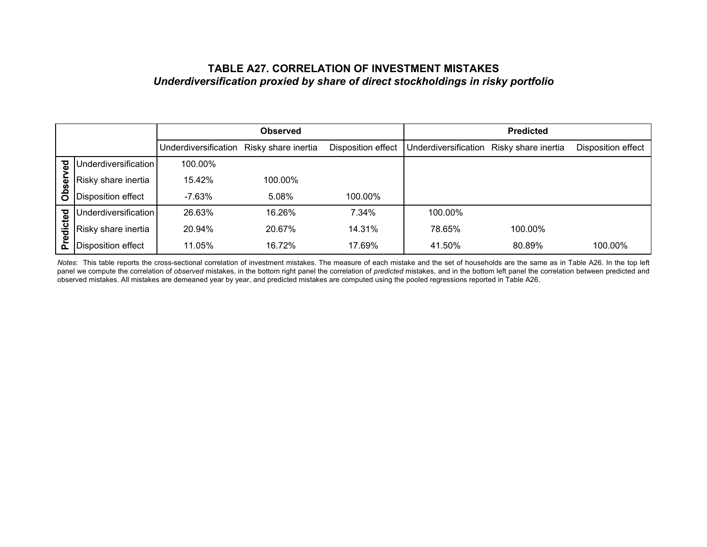## **TABLE A27. CORRELATION OF INVESTMENT MISTAKES***Underdiversification proxied by share of direct stockholdings in risky portfolio*

|         |                           |                      | <b>Observed</b>     |                    |                      | <b>Predicted</b>    |                    |
|---------|---------------------------|----------------------|---------------------|--------------------|----------------------|---------------------|--------------------|
|         |                           | Underdiversification | Risky share inertia | Disposition effect | Underdiversification | Risky share inertia | Disposition effect |
| ढ       | Underdiversification      | 100.00%              |                     |                    |                      |                     |                    |
| ଌ       | Risky share inertia       | 15.42%               | 100.00%             |                    |                      |                     |                    |
| Ö<br>ō  | Disposition effect        | -7.63%               | 5.08%               | 100.00%            |                      |                     |                    |
|         | Underdiversification      | 26.63%               | 16.26%              | 7.34%              | 100.00%              |                     |                    |
| edicted | Risky share inertia       | 20.94%               | 20.67%              | 14.31%             | 78.65%               | 100.00%             |                    |
| ō.      | <b>Disposition effect</b> | 11.05%               | 16.72%              | 17.69%             | 41.50%               | 80.89%              | 100.00%            |

*Notes*: This table reports the cross-sectional correlation of investment mistakes. The measure of each mistake and the set of households are the same as in Table A26. In the top left panel we compute the correlation of *observed* mistakes, in the bottom right panel the correlation of *predicted* mistakes, and in the bottom left panel the correlation between predicted and observed mistakes. All mistakes are demeaned year by year, and predicted mistakes are computed using the pooled regressions reported in Table A26.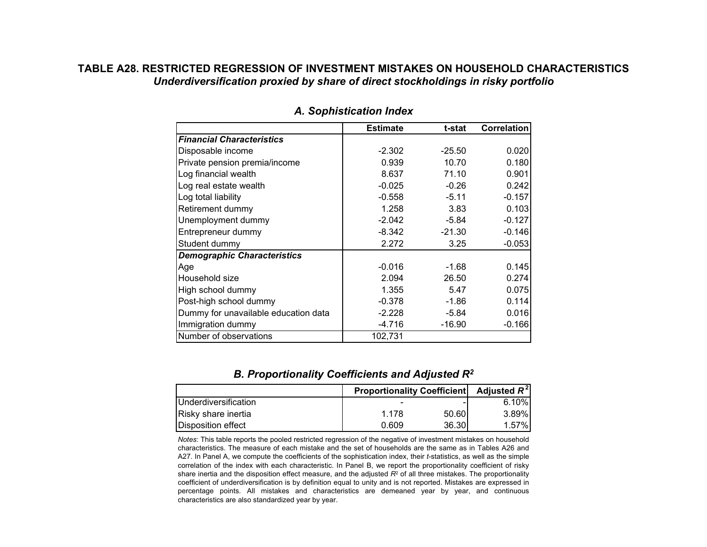## **TABLE A28. RESTRICTED REGRESSION OF INVESTMENT MISTAKES ON HOUSEHOLD CHARACTERISTICS***Underdiversification proxied by share of direct stockholdings in risky portfolio*

|                                      | <b>Estimate</b> | t-stat   | Correlation |
|--------------------------------------|-----------------|----------|-------------|
| <b>Financial Characteristics</b>     |                 |          |             |
| Disposable income                    | $-2.302$        | $-25.50$ | 0.020       |
| Private pension premia/income        | 0.939           | 10.70    | 0.180       |
| Log financial wealth                 | 8.637           | 71.10    | 0.901       |
| Log real estate wealth               | $-0.025$        | $-0.26$  | 0.242       |
| Log total liability                  | $-0.558$        | $-5.11$  | $-0.157$    |
| Retirement dummy                     | 1.258           | 3.83     | 0.103       |
| Unemployment dummy                   | $-2.042$        | $-5.84$  | $-0.127$    |
| Entrepreneur dummy                   | -8.342          | $-21.30$ | $-0.146$    |
| Student dummy                        | 2.272           | 3.25     | $-0.053$    |
| <b>Demographic Characteristics</b>   |                 |          |             |
| Age                                  | $-0.016$        | $-1.68$  | 0.145       |
| Household size                       | 2.094           | 26.50    | 0.274       |
| High school dummy                    | 1.355           | 5.47     | 0.075       |
| Post-high school dummy               | $-0.378$        | $-1.86$  | 0.114       |
| Dummy for unavailable education data | $-2.228$        | $-5.84$  | 0.016       |
| Immigration dummy                    | -4.716          | $-16.90$ | $-0.166$    |
| Number of observations               | 102,731         |          |             |

#### *A. Sophistication Index*

## *B. Proportionality Coefficients and Adjusted R2*

|                               | <b>Proportionality Coefficient</b> | Adjusted $R^2$ |          |
|-------------------------------|------------------------------------|----------------|----------|
| <b>I</b> Underdiversification |                                    |                | $6.10\%$ |
| Risky share inertia           | 1 178                              | 50.60          | $3.89\%$ |
| <b>I</b> Disposition effect   | 0.609                              | 36.30          | $1.57\%$ |

*Notes*: This table reports the pooled restricted regression of the negative of investment mistakes on household characteristics. The measure of each mistake and the set of households are the same as in Tables A26 and A27. In Panel A, we compute the coefficients of the sophistication index, their *t*-statistics, as well as the simple correlation of the index with each characteristic. In Panel B, we report the proportionality coefficient of risky share inertia and the disposition effect measure, and the adjusted *R*<sup>2</sup> of all three mistakes. The proportionality coefficient of underdiversification is by definition equal to unity and is not reported. Mistakes are expressed in percentage points. All mistakes and characteristics are demeaned year by year, and continuous characteristics are also standardized year by year.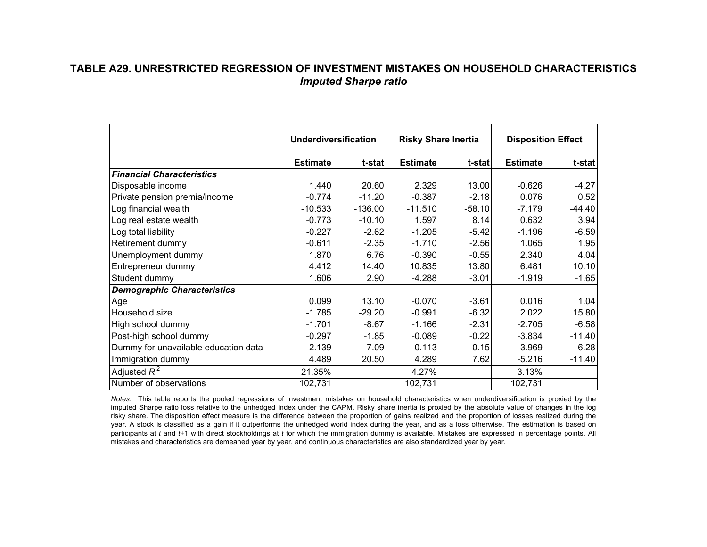## **TABLE A29. UNRESTRICTED REGRESSION OF INVESTMENT MISTAKES ON HOUSEHOLD CHARACTERISTICS***Imputed Sharpe ratio*

|                                      | <b>Underdiversification</b> |           | <b>Risky Share Inertia</b> |          | <b>Disposition Effect</b> |          |
|--------------------------------------|-----------------------------|-----------|----------------------------|----------|---------------------------|----------|
|                                      | <b>Estimate</b>             | t-stat    | <b>Estimate</b>            | t-stat   | <b>Estimate</b>           | t-stat   |
| <b>Financial Characteristics</b>     |                             |           |                            |          |                           |          |
| Disposable income                    | 1.440                       | 20.60     | 2.329                      | 13.00    | $-0.626$                  | $-4.27$  |
| Private pension premia/income        | $-0.774$                    | $-11.20$  | $-0.387$                   | $-2.18$  | 0.076                     | 0.52     |
| Log financial wealth                 | $-10.533$                   | $-136.00$ | $-11.510$                  | $-58.10$ | $-7.179$                  | $-44.40$ |
| Log real estate wealth               | $-0.773$                    | $-10.10$  | 1.597                      | 8.14     | 0.632                     | 3.94     |
| Log total liability                  | $-0.227$                    | $-2.62$   | $-1.205$                   | $-5.42$  | $-1.196$                  | $-6.59$  |
| Retirement dummy                     | $-0.611$                    | $-2.35$   | $-1.710$                   | $-2.56$  | 1.065                     | 1.95     |
| Unemployment dummy                   | 1.870                       | 6.76      | $-0.390$                   | $-0.55$  | 2.340                     | 4.04     |
| Entrepreneur dummy                   | 4.412                       | 14.40     | 10.835                     | 13.80    | 6.481                     | 10.10    |
| Student dummy                        | 1.606                       | 2.90      | $-4.288$                   | $-3.01$  | $-1.919$                  | $-1.65$  |
| <b>Demographic Characteristics</b>   |                             |           |                            |          |                           |          |
| Age                                  | 0.099                       | 13.10     | $-0.070$                   | $-3.61$  | 0.016                     | 1.04     |
| Household size                       | $-1.785$                    | $-29.20$  | $-0.991$                   | $-6.32$  | 2.022                     | 15.80    |
| High school dummy                    | $-1.701$                    | $-8.67$   | $-1.166$                   | $-2.31$  | $-2.705$                  | $-6.58$  |
| Post-high school dummy               | $-0.297$                    | $-1.85$   | $-0.089$                   | $-0.22$  | $-3.834$                  | $-11.40$ |
| Dummy for unavailable education data | 2.139                       | 7.09      | 0.113                      | 0.15     | $-3.969$                  | $-6.28$  |
| Immigration dummy                    | 4.489                       | 20.50     | 4.289                      | 7.62     | $-5.216$                  | $-11.40$ |
| Adjusted $R^2$                       | 21.35%                      |           | 4.27%                      |          | 3.13%                     |          |
| Number of observations               | 102,731                     |           | 102,731                    |          | 102,731                   |          |

*Notes*: This table reports the pooled regressions of investment mistakes on household characteristics when underdiversification is proxied by the imputed Sharpe ratio loss relative to the unhedged index under the CAPM. Risky share inertia is proxied by the absolute value of changes in the log risky share. The disposition effect measure is the difference between the proportion of gains realized and the proportion of losses realized during the year. A stock is classified as a gain if it outperforms the unhedged world index during the year, and as a loss otherwise. The estimation is based on participants at *t* and *t*+1 with direct stockholdings at *t* for which the immigration dummy is available. Mistakes are expressed in percentage points. All mistakes and characteristics are demeaned year by year, and continuous characteristics are also standardized year by year.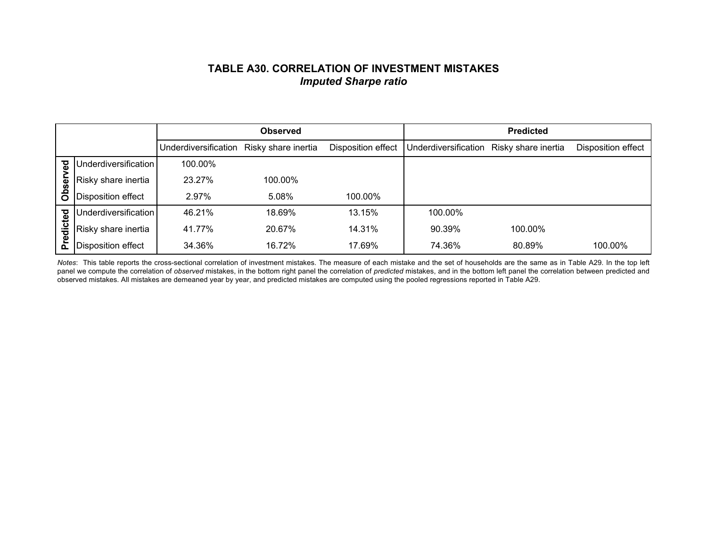## **TABLE A30. CORRELATION OF INVESTMENT MISTAKES***Imputed Sharpe ratio*

|         |                           |                      | <b>Observed</b>     |                    |                      | <b>Predicted</b>    |                    |
|---------|---------------------------|----------------------|---------------------|--------------------|----------------------|---------------------|--------------------|
|         |                           | Underdiversification | Risky share inertia | Disposition effect | Underdiversification | Risky share inertia | Disposition effect |
| टु      | Underdiversification      | 100.00%              |                     |                    |                      |                     |                    |
| ଞି      | Risky share inertia       | 23.27%               | 100.00%             |                    |                      |                     |                    |
| å       | Disposition effect        | 2.97%                | 5.08%               | 100.00%            |                      |                     |                    |
|         | Underdiversification      | 46.21%               | 18.69%              | 13.15%             | 100.00%              |                     |                    |
| edicted | Risky share inertia       | 41.77%               | 20.67%              | 14.31%             | 90.39%               | 100.00%             |                    |
| Δ.      | <b>Disposition effect</b> | 34.36%               | 16.72%              | 17.69%             | 74.36%               | 80.89%              | 100.00%            |

*Notes*: This table reports the cross-sectional correlation of investment mistakes. The measure of each mistake and the set of households are the same as in Table A29. In the top left panel we compute the correlation of *observed* mistakes, in the bottom right panel the correlation of *predicted* mistakes, and in the bottom left panel the correlation between predicted and observed mistakes. All mistakes are demeaned year by year, and predicted mistakes are computed using the pooled regressions reported in Table A29.